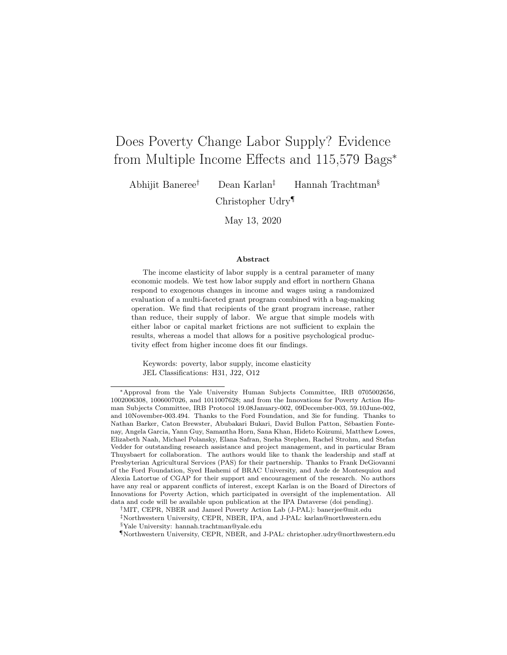# Does Poverty Change Labor Supply? Evidence from Multiple Income Effects and 115,579 Bags<sup>∗</sup>

Abhijit Baneree† Dean Karlan‡ Hannah Trachtman§

Christopher Udry¶

May 13, 2020

#### Abstract

The income elasticity of labor supply is a central parameter of many economic models. We test how labor supply and effort in northern Ghana respond to exogenous changes in income and wages using a randomized evaluation of a multi-faceted grant program combined with a bag-making operation. We find that recipients of the grant program increase, rather than reduce, their supply of labor. We argue that simple models with either labor or capital market frictions are not sufficient to explain the results, whereas a model that allows for a positive psychological productivity effect from higher income does fit our findings.

Keywords: poverty, labor supply, income elasticity JEL Classifications: H31, J22, O12

<sup>∗</sup>Approval from the Yale University Human Subjects Committee, IRB 0705002656, 1002006308, 1006007026, and 1011007628; and from the Innovations for Poverty Action Human Subjects Committee, IRB Protocol 19.08January-002, 09December-003, 59.10June-002, and 10November-003.494. Thanks to the Ford Foundation, and 3ie for funding. Thanks to Nathan Barker, Caton Brewster, Abubakari Bukari, David Bullon Patton, Sébastien Fontenay, Angela Garcia, Yann Guy, Samantha Horn, Sana Khan, Hideto Koizumi, Matthew Lowes, Elizabeth Naah, Michael Polansky, Elana Safran, Sneha Stephen, Rachel Strohm, and Stefan Vedder for outstanding research assistance and project management, and in particular Bram Thuysbaert for collaboration. The authors would like to thank the leadership and staff at Presbyterian Agricultural Services (PAS) for their partnership. Thanks to Frank DeGiovanni of the Ford Foundation, Syed Hashemi of BRAC University, and Aude de Montesquiou and Alexia Latortue of CGAP for their support and encouragement of the research. No authors have any real or apparent conflicts of interest, except Karlan is on the Board of Directors of Innovations for Poverty Action, which participated in oversight of the implementation. All data and code will be available upon publication at the IPA Dataverse (doi pending).

<sup>†</sup>MIT, CEPR, NBER and Jameel Poverty Action Lab (J-PAL): banerjee@mit.edu

<sup>‡</sup>Northwestern University, CEPR, NBER, IPA, and J-PAL: karlan@northwestern.edu §Yale University: hannah.trachtman@yale.edu

<sup>¶</sup>Northwestern University, CEPR, NBER, and J-PAL: christopher.udry@northwestern.edu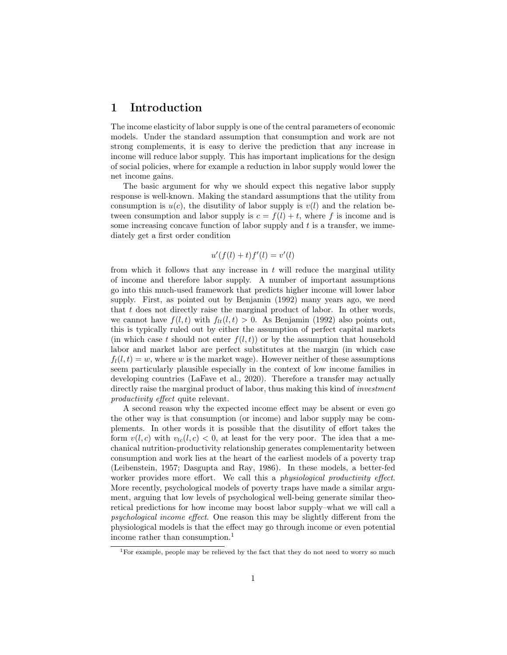# 1 Introduction

The income elasticity of labor supply is one of the central parameters of economic models. Under the standard assumption that consumption and work are not strong complements, it is easy to derive the prediction that any increase in income will reduce labor supply. This has important implications for the design of social policies, where for example a reduction in labor supply would lower the net income gains.

The basic argument for why we should expect this negative labor supply response is well-known. Making the standard assumptions that the utility from consumption is  $u(c)$ , the disutility of labor supply is  $v(l)$  and the relation between consumption and labor supply is  $c = f(l) + t$ , where f is income and is some increasing concave function of labor supply and  $t$  is a transfer, we immediately get a first order condition

$$
u'(f(l) + t)f'(l) = v'(l)
$$

from which it follows that any increase in  $t$  will reduce the marginal utility of income and therefore labor supply. A number of important assumptions go into this much-used framework that predicts higher income will lower labor supply. First, as pointed out by Benjamin (1992) many years ago, we need that  $t$  does not directly raise the marginal product of labor. In other words, we cannot have  $f(l, t)$  with  $f_{lt}(l, t) > 0$ . As Benjamin (1992) also points out, this is typically ruled out by either the assumption of perfect capital markets (in which case t should not enter  $f(l, t)$ ) or by the assumption that household labor and market labor are perfect substitutes at the margin (in which case  $f_l(l, t) = w$ , where w is the market wage). However neither of these assumptions seem particularly plausible especially in the context of low income families in developing countries (LaFave et al., 2020). Therefore a transfer may actually directly raise the marginal product of labor, thus making this kind of *investment* productivity effect quite relevant.

A second reason why the expected income effect may be absent or even go the other way is that consumption (or income) and labor supply may be complements. In other words it is possible that the disutility of effort takes the form  $v(l, c)$  with  $v_{lc}(l, c) < 0$ , at least for the very poor. The idea that a mechanical nutrition-productivity relationship generates complementarity between consumption and work lies at the heart of the earliest models of a poverty trap (Leibenstein, 1957; Dasgupta and Ray, 1986). In these models, a better-fed worker provides more effort. We call this a *physiological productivity effect*. More recently, psychological models of poverty traps have made a similar argument, arguing that low levels of psychological well-being generate similar theoretical predictions for how income may boost labor supply–what we will call a psychological income effect. One reason this may be slightly different from the physiological models is that the effect may go through income or even potential income rather than consumption.<sup>1</sup>

<sup>&</sup>lt;sup>1</sup>For example, people may be relieved by the fact that they do not need to worry so much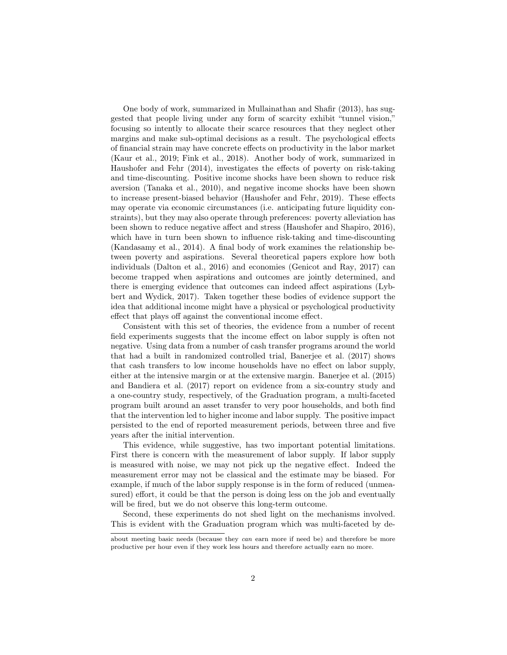One body of work, summarized in Mullainathan and Shafir (2013), has suggested that people living under any form of scarcity exhibit "tunnel vision," focusing so intently to allocate their scarce resources that they neglect other margins and make sub-optimal decisions as a result. The psychological effects of financial strain may have concrete effects on productivity in the labor market (Kaur et al., 2019; Fink et al., 2018). Another body of work, summarized in Haushofer and Fehr (2014), investigates the effects of poverty on risk-taking and time-discounting. Positive income shocks have been shown to reduce risk aversion (Tanaka et al., 2010), and negative income shocks have been shown to increase present-biased behavior (Haushofer and Fehr, 2019). These effects may operate via economic circumstances (i.e. anticipating future liquidity constraints), but they may also operate through preferences: poverty alleviation has been shown to reduce negative affect and stress (Haushofer and Shapiro, 2016), which have in turn been shown to influence risk-taking and time-discounting (Kandasamy et al., 2014). A final body of work examines the relationship between poverty and aspirations. Several theoretical papers explore how both individuals (Dalton et al., 2016) and economies (Genicot and Ray, 2017) can become trapped when aspirations and outcomes are jointly determined, and there is emerging evidence that outcomes can indeed affect aspirations (Lybbert and Wydick, 2017). Taken together these bodies of evidence support the idea that additional income might have a physical or psychological productivity effect that plays off against the conventional income effect.

Consistent with this set of theories, the evidence from a number of recent field experiments suggests that the income effect on labor supply is often not negative. Using data from a number of cash transfer programs around the world that had a built in randomized controlled trial, Banerjee et al. (2017) shows that cash transfers to low income households have no effect on labor supply, either at the intensive margin or at the extensive margin. Banerjee et al. (2015) and Bandiera et al. (2017) report on evidence from a six-country study and a one-country study, respectively, of the Graduation program, a multi-faceted program built around an asset transfer to very poor households, and both find that the intervention led to higher income and labor supply. The positive impact persisted to the end of reported measurement periods, between three and five years after the initial intervention.

This evidence, while suggestive, has two important potential limitations. First there is concern with the measurement of labor supply. If labor supply is measured with noise, we may not pick up the negative effect. Indeed the measurement error may not be classical and the estimate may be biased. For example, if much of the labor supply response is in the form of reduced (unmeasured) effort, it could be that the person is doing less on the job and eventually will be fired, but we do not observe this long-term outcome.

Second, these experiments do not shed light on the mechanisms involved. This is evident with the Graduation program which was multi-faceted by de-

about meeting basic needs (because they can earn more if need be) and therefore be more productive per hour even if they work less hours and therefore actually earn no more.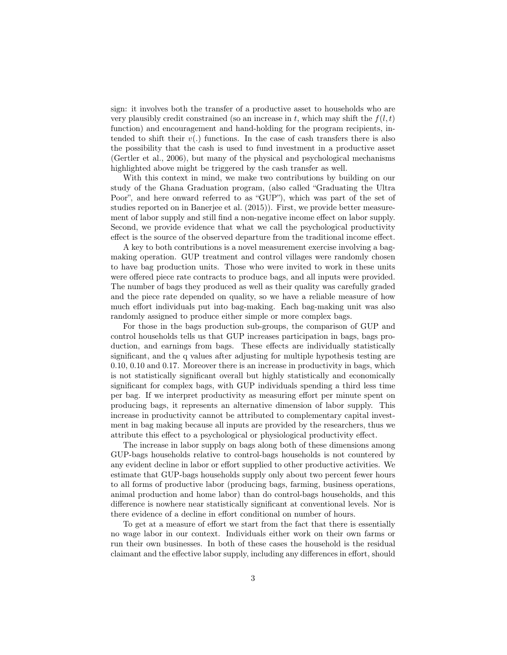sign: it involves both the transfer of a productive asset to households who are very plausibly credit constrained (so an increase in t, which may shift the  $f(l, t)$ ) function) and encouragement and hand-holding for the program recipients, intended to shift their  $v(.)$  functions. In the case of cash transfers there is also the possibility that the cash is used to fund investment in a productive asset (Gertler et al., 2006), but many of the physical and psychological mechanisms highlighted above might be triggered by the cash transfer as well.

With this context in mind, we make two contributions by building on our study of the Ghana Graduation program, (also called "Graduating the Ultra Poor", and here onward referred to as "GUP"), which was part of the set of studies reported on in Banerjee et al. (2015)). First, we provide better measurement of labor supply and still find a non-negative income effect on labor supply. Second, we provide evidence that what we call the psychological productivity effect is the source of the observed departure from the traditional income effect.

A key to both contributions is a novel measurement exercise involving a bagmaking operation. GUP treatment and control villages were randomly chosen to have bag production units. Those who were invited to work in these units were offered piece rate contracts to produce bags, and all inputs were provided. The number of bags they produced as well as their quality was carefully graded and the piece rate depended on quality, so we have a reliable measure of how much effort individuals put into bag-making. Each bag-making unit was also randomly assigned to produce either simple or more complex bags.

For those in the bags production sub-groups, the comparison of GUP and control households tells us that GUP increases participation in bags, bags production, and earnings from bags. These effects are individually statistically significant, and the q values after adjusting for multiple hypothesis testing are 0.10, 0.10 and 0.17. Moreover there is an increase in productivity in bags, which is not statistically significant overall but highly statistically and economically significant for complex bags, with GUP individuals spending a third less time per bag. If we interpret productivity as measuring effort per minute spent on producing bags, it represents an alternative dimension of labor supply. This increase in productivity cannot be attributed to complementary capital investment in bag making because all inputs are provided by the researchers, thus we attribute this effect to a psychological or physiological productivity effect.

The increase in labor supply on bags along both of these dimensions among GUP-bags households relative to control-bags households is not countered by any evident decline in labor or effort supplied to other productive activities. We estimate that GUP-bags households supply only about two percent fewer hours to all forms of productive labor (producing bags, farming, business operations, animal production and home labor) than do control-bags households, and this difference is nowhere near statistically significant at conventional levels. Nor is there evidence of a decline in effort conditional on number of hours.

To get at a measure of effort we start from the fact that there is essentially no wage labor in our context. Individuals either work on their own farms or run their own businesses. In both of these cases the household is the residual claimant and the effective labor supply, including any differences in effort, should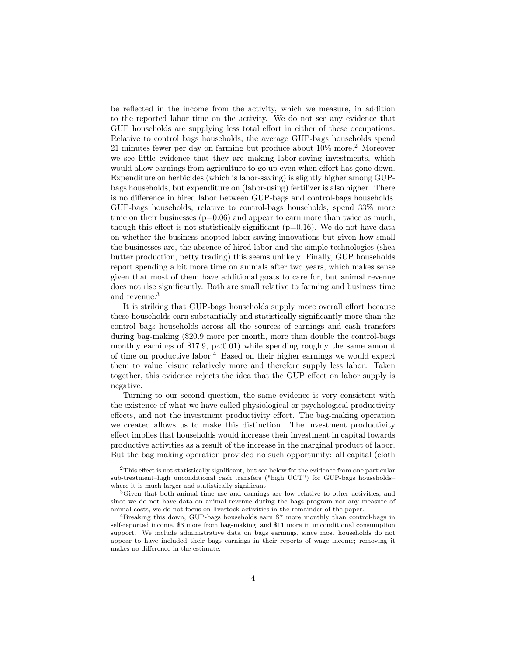be reflected in the income from the activity, which we measure, in addition to the reported labor time on the activity. We do not see any evidence that GUP households are supplying less total effort in either of these occupations. Relative to control bags households, the average GUP-bags households spend 21 minutes fewer per day on farming but produce about 10% more.<sup>2</sup> Moreover we see little evidence that they are making labor-saving investments, which would allow earnings from agriculture to go up even when effort has gone down. Expenditure on herbicides (which is labor-saving) is slightly higher among GUPbags households, but expenditure on (labor-using) fertilizer is also higher. There is no difference in hired labor between GUP-bags and control-bags households. GUP-bags households, relative to control-bags households, spend 33% more time on their businesses ( $p=0.06$ ) and appear to earn more than twice as much, though this effect is not statistically significant  $(p=0.16)$ . We do not have data on whether the business adopted labor saving innovations but given how small the businesses are, the absence of hired labor and the simple technologies (shea butter production, petty trading) this seems unlikely. Finally, GUP households report spending a bit more time on animals after two years, which makes sense given that most of them have additional goats to care for, but animal revenue does not rise significantly. Both are small relative to farming and business time and revenue.<sup>3</sup>

It is striking that GUP-bags households supply more overall effort because these households earn substantially and statistically significantly more than the control bags households across all the sources of earnings and cash transfers during bag-making (\$20.9 more per month, more than double the control-bags monthly earnings of \$17.9,  $p<0.01$ ) while spending roughly the same amount of time on productive labor.<sup>4</sup> Based on their higher earnings we would expect them to value leisure relatively more and therefore supply less labor. Taken together, this evidence rejects the idea that the GUP effect on labor supply is negative.

Turning to our second question, the same evidence is very consistent with the existence of what we have called physiological or psychological productivity effects, and not the investment productivity effect. The bag-making operation we created allows us to make this distinction. The investment productivity effect implies that households would increase their investment in capital towards productive activities as a result of the increase in the marginal product of labor. But the bag making operation provided no such opportunity: all capital (cloth

<sup>2</sup>This effect is not statistically significant, but see below for the evidence from one particular sub-treatment–high unconditional cash transfers ("high UCT") for GUP-bags households– where it is much larger and statistically significant

<sup>&</sup>lt;sup>3</sup>Given that both animal time use and earnings are low relative to other activities, and since we do not have data on animal revenue during the bags program nor any measure of animal costs, we do not focus on livestock activities in the remainder of the paper.

<sup>4</sup>Breaking this down, GUP-bags households earn \$7 more monthly than control-bags in self-reported income, \$3 more from bag-making, and \$11 more in unconditional consumption support. We include administrative data on bags earnings, since most households do not appear to have included their bags earnings in their reports of wage income; removing it makes no difference in the estimate.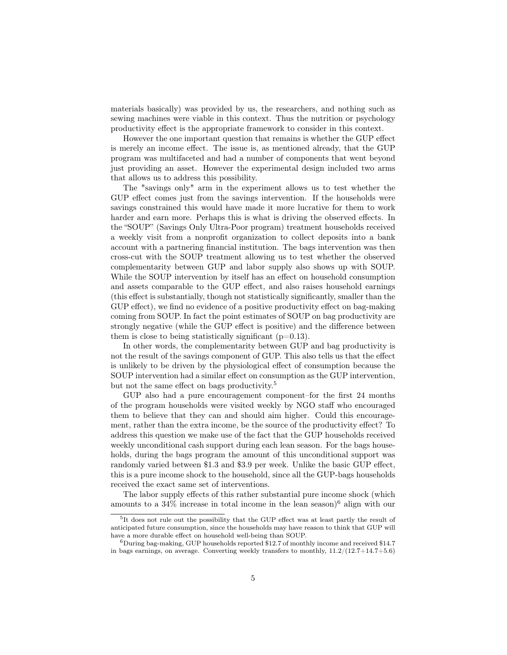materials basically) was provided by us, the researchers, and nothing such as sewing machines were viable in this context. Thus the nutrition or psychology productivity effect is the appropriate framework to consider in this context.

However the one important question that remains is whether the GUP effect is merely an income effect. The issue is, as mentioned already, that the GUP program was multifaceted and had a number of components that went beyond just providing an asset. However the experimental design included two arms that allows us to address this possibility.

The "savings only" arm in the experiment allows us to test whether the GUP effect comes just from the savings intervention. If the households were savings constrained this would have made it more lucrative for them to work harder and earn more. Perhaps this is what is driving the observed effects. In the "SOUP" (Savings Only Ultra-Poor program) treatment households received a weekly visit from a nonprofit organization to collect deposits into a bank account with a partnering financial institution. The bags intervention was then cross-cut with the SOUP treatment allowing us to test whether the observed complementarity between GUP and labor supply also shows up with SOUP. While the SOUP intervention by itself has an effect on household consumption and assets comparable to the GUP effect, and also raises household earnings (this effect is substantially, though not statistically significantly, smaller than the GUP effect), we find no evidence of a positive productivity effect on bag-making coming from SOUP. In fact the point estimates of SOUP on bag productivity are strongly negative (while the GUP effect is positive) and the difference between them is close to being statistically significant  $(p=0.13)$ .

In other words, the complementarity between GUP and bag productivity is not the result of the savings component of GUP. This also tells us that the effect is unlikely to be driven by the physiological effect of consumption because the SOUP intervention had a similar effect on consumption as the GUP intervention, but not the same effect on bags productivity.<sup>5</sup>

GUP also had a pure encouragement component–for the first 24 months of the program households were visited weekly by NGO staff who encouraged them to believe that they can and should aim higher. Could this encouragement, rather than the extra income, be the source of the productivity effect? To address this question we make use of the fact that the GUP households received weekly unconditional cash support during each lean season. For the bags households, during the bags program the amount of this unconditional support was randomly varied between \$1.3 and \$3.9 per week. Unlike the basic GUP effect, this is a pure income shock to the household, since all the GUP-bags households received the exact same set of interventions.

The labor supply effects of this rather substantial pure income shock (which amounts to a  $34\%$  increase in total income in the lean season)<sup>6</sup> align with our

<sup>&</sup>lt;sup>5</sup>It does not rule out the possibility that the GUP effect was at least partly the result of anticipated future consumption, since the households may have reason to think that GUP will have a more durable effect on household well-being than SOUP.

 $6$ During bag-making, GUP households reported \$12.7 of monthly income and received \$14.7 in bags earnings, on average. Converting weekly transfers to monthly,  $11.2/(12.7+14.7+5.6)$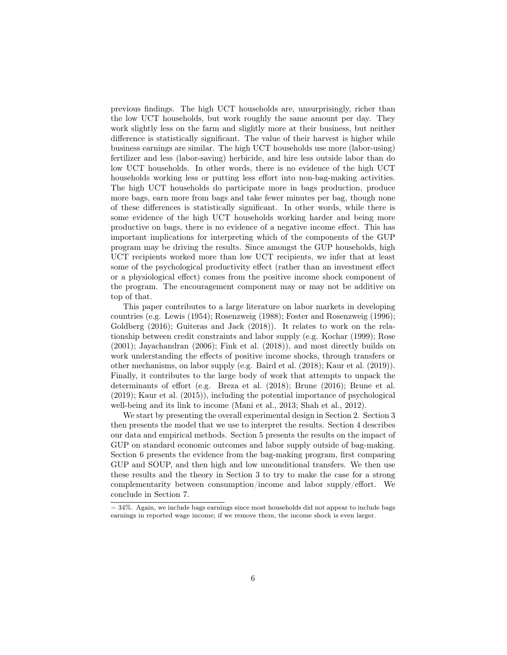previous findings. The high UCT households are, unsurprisingly, richer than the low UCT households, but work roughly the same amount per day. They work slightly less on the farm and slightly more at their business, but neither difference is statistically significant. The value of their harvest is higher while business earnings are similar. The high UCT households use more (labor-using) fertilizer and less (labor-saving) herbicide, and hire less outside labor than do low UCT households. In other words, there is no evidence of the high UCT households working less or putting less effort into non-bag-making activities. The high UCT households do participate more in bags production, produce more bags, earn more from bags and take fewer minutes per bag, though none of these differences is statistically significant. In other words, while there is some evidence of the high UCT households working harder and being more productive on bags, there is no evidence of a negative income effect. This has important implications for interpreting which of the components of the GUP program may be driving the results. Since amongst the GUP households, high UCT recipients worked more than low UCT recipients, we infer that at least some of the psychological productivity effect (rather than an investment effect or a physiological effect) comes from the positive income shock component of the program. The encouragement component may or may not be additive on top of that.

This paper contributes to a large literature on labor markets in developing countries (e.g. Lewis (1954); Rosenzweig (1988); Foster and Rosenzweig (1996); Goldberg (2016); Guiteras and Jack (2018)). It relates to work on the relationship between credit constraints and labor supply (e.g. Kochar (1999); Rose (2001); Jayachandran (2006); Fink et al. (2018)), and most directly builds on work understanding the effects of positive income shocks, through transfers or other mechanisms, on labor supply (e.g. Baird et al. (2018); Kaur et al. (2019)). Finally, it contributes to the large body of work that attempts to unpack the determinants of effort (e.g. Breza et al. (2018); Brune (2016); Brune et al. (2019); Kaur et al. (2015)), including the potential importance of psychological well-being and its link to income (Mani et al., 2013; Shah et al., 2012).

We start by presenting the overall experimental design in Section 2. Section 3 then presents the model that we use to interpret the results. Section 4 describes our data and empirical methods. Section 5 presents the results on the impact of GUP on standard economic outcomes and labor supply outside of bag-making. Section 6 presents the evidence from the bag-making program, first comparing GUP and SOUP, and then high and low unconditional transfers. We then use these results and the theory in Section 3 to try to make the case for a strong complementarity between consumption/income and labor supply/effort. We conclude in Section 7.

 $= 34\%$ . Again, we include bags earnings since most households did not appear to include bags earnings in reported wage income; if we remove them, the income shock is even larger.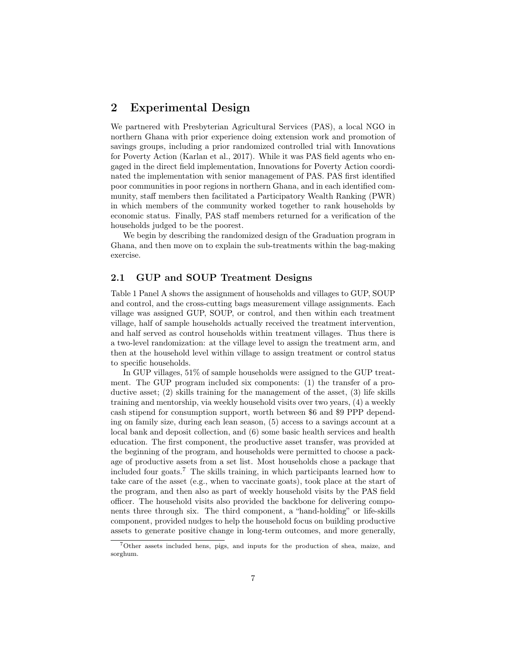# 2 Experimental Design

We partnered with Presbyterian Agricultural Services (PAS), a local NGO in northern Ghana with prior experience doing extension work and promotion of savings groups, including a prior randomized controlled trial with Innovations for Poverty Action (Karlan et al., 2017). While it was PAS field agents who engaged in the direct field implementation, Innovations for Poverty Action coordinated the implementation with senior management of PAS. PAS first identified poor communities in poor regions in northern Ghana, and in each identified community, staff members then facilitated a Participatory Wealth Ranking (PWR) in which members of the community worked together to rank households by economic status. Finally, PAS staff members returned for a verification of the households judged to be the poorest.

We begin by describing the randomized design of the Graduation program in Ghana, and then move on to explain the sub-treatments within the bag-making exercise.

#### 2.1 GUP and SOUP Treatment Designs

Table 1 Panel A shows the assignment of households and villages to GUP, SOUP and control, and the cross-cutting bags measurement village assignments. Each village was assigned GUP, SOUP, or control, and then within each treatment village, half of sample households actually received the treatment intervention, and half served as control households within treatment villages. Thus there is a two-level randomization: at the village level to assign the treatment arm, and then at the household level within village to assign treatment or control status to specific households.

In GUP villages, 51% of sample households were assigned to the GUP treatment. The GUP program included six components: (1) the transfer of a productive asset; (2) skills training for the management of the asset, (3) life skills training and mentorship, via weekly household visits over two years, (4) a weekly cash stipend for consumption support, worth between \$6 and \$9 PPP depending on family size, during each lean season, (5) access to a savings account at a local bank and deposit collection, and (6) some basic health services and health education. The first component, the productive asset transfer, was provided at the beginning of the program, and households were permitted to choose a package of productive assets from a set list. Most households chose a package that included four goats.<sup>7</sup> The skills training, in which participants learned how to take care of the asset (e.g., when to vaccinate goats), took place at the start of the program, and then also as part of weekly household visits by the PAS field officer. The household visits also provided the backbone for delivering components three through six. The third component, a "hand-holding" or life-skills component, provided nudges to help the household focus on building productive assets to generate positive change in long-term outcomes, and more generally,

<sup>7</sup>Other assets included hens, pigs, and inputs for the production of shea, maize, and sorghum.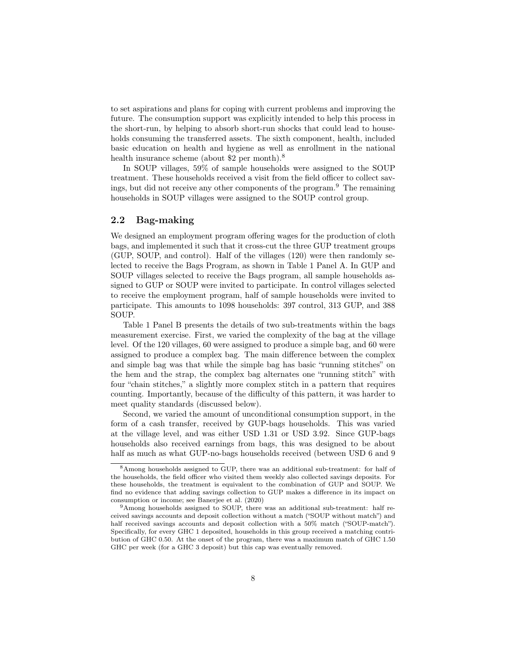to set aspirations and plans for coping with current problems and improving the future. The consumption support was explicitly intended to help this process in the short-run, by helping to absorb short-run shocks that could lead to households consuming the transferred assets. The sixth component, health, included basic education on health and hygiene as well as enrollment in the national health insurance scheme (about \$2 per month).<sup>8</sup>

In SOUP villages, 59% of sample households were assigned to the SOUP treatment. These households received a visit from the field officer to collect savings, but did not receive any other components of the program.<sup>9</sup> The remaining households in SOUP villages were assigned to the SOUP control group.

#### 2.2 Bag-making

We designed an employment program offering wages for the production of cloth bags, and implemented it such that it cross-cut the three GUP treatment groups (GUP, SOUP, and control). Half of the villages (120) were then randomly selected to receive the Bags Program, as shown in Table 1 Panel A. In GUP and SOUP villages selected to receive the Bags program, all sample households assigned to GUP or SOUP were invited to participate. In control villages selected to receive the employment program, half of sample households were invited to participate. This amounts to 1098 households: 397 control, 313 GUP, and 388 SOUP.

Table 1 Panel B presents the details of two sub-treatments within the bags measurement exercise. First, we varied the complexity of the bag at the village level. Of the 120 villages, 60 were assigned to produce a simple bag, and 60 were assigned to produce a complex bag. The main difference between the complex and simple bag was that while the simple bag has basic "running stitches" on the hem and the strap, the complex bag alternates one "running stitch" with four "chain stitches," a slightly more complex stitch in a pattern that requires counting. Importantly, because of the difficulty of this pattern, it was harder to meet quality standards (discussed below).

Second, we varied the amount of unconditional consumption support, in the form of a cash transfer, received by GUP-bags households. This was varied at the village level, and was either USD 1.31 or USD 3.92. Since GUP-bags households also received earnings from bags, this was designed to be about half as much as what GUP-no-bags households received (between USD 6 and 9

<sup>8</sup>Among households assigned to GUP, there was an additional sub-treatment: for half of the households, the field officer who visited them weekly also collected savings deposits. For these households, the treatment is equivalent to the combination of GUP and SOUP. We find no evidence that adding savings collection to GUP makes a difference in its impact on consumption or income; see Banerjee et al. (2020)

<sup>9</sup>Among households assigned to SOUP, there was an additional sub-treatment: half received savings accounts and deposit collection without a match ("SOUP without match") and half received savings accounts and deposit collection with a 50% match ("SOUP-match"). Specifically, for every GHC 1 deposited, households in this group received a matching contribution of GHC 0.50. At the onset of the program, there was a maximum match of GHC 1.50 GHC per week (for a GHC 3 deposit) but this cap was eventually removed.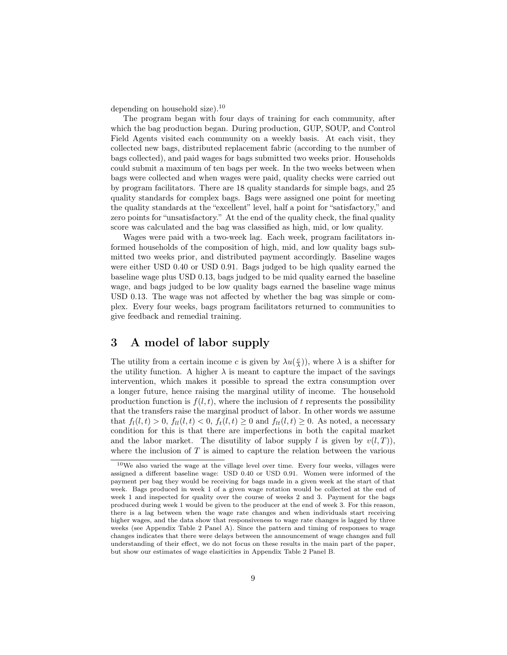depending on household size).<sup>10</sup>

The program began with four days of training for each community, after which the bag production began. During production, GUP, SOUP, and Control Field Agents visited each community on a weekly basis. At each visit, they collected new bags, distributed replacement fabric (according to the number of bags collected), and paid wages for bags submitted two weeks prior. Households could submit a maximum of ten bags per week. In the two weeks between when bags were collected and when wages were paid, quality checks were carried out by program facilitators. There are 18 quality standards for simple bags, and 25 quality standards for complex bags. Bags were assigned one point for meeting the quality standards at the "excellent" level, half a point for "satisfactory," and zero points for "unsatisfactory." At the end of the quality check, the final quality score was calculated and the bag was classified as high, mid, or low quality.

Wages were paid with a two-week lag. Each week, program facilitators informed households of the composition of high, mid, and low quality bags submitted two weeks prior, and distributed payment accordingly. Baseline wages were either USD 0.40 or USD 0.91. Bags judged to be high quality earned the baseline wage plus USD 0.13, bags judged to be mid quality earned the baseline wage, and bags judged to be low quality bags earned the baseline wage minus USD 0.13. The wage was not affected by whether the bag was simple or complex. Every four weeks, bags program facilitators returned to communities to give feedback and remedial training.

# 3 A model of labor supply

The utility from a certain income c is given by  $\lambda u(\frac{c}{\lambda})$ , where  $\lambda$  is a shifter for the utility function. A higher  $\lambda$  is meant to capture the impact of the savings intervention, which makes it possible to spread the extra consumption over a longer future, hence raising the marginal utility of income. The household production function is  $f(l, t)$ , where the inclusion of t represents the possibility that the transfers raise the marginal product of labor. In other words we assume that  $f_l(l, t) > 0$ ,  $f_{ll}(l, t) < 0$ ,  $f_t(l, t) \geq 0$  and  $f_{lt}(l, t) \geq 0$ . As noted, a necessary condition for this is that there are imperfections in both the capital market and the labor market. The disutility of labor supply l is given by  $v(l, T)$ ), where the inclusion of  $T$  is aimed to capture the relation between the various

<sup>10</sup>We also varied the wage at the village level over time. Every four weeks, villages were assigned a different baseline wage: USD 0.40 or USD 0.91. Women were informed of the payment per bag they would be receiving for bags made in a given week at the start of that week. Bags produced in week 1 of a given wage rotation would be collected at the end of week 1 and inspected for quality over the course of weeks 2 and 3. Payment for the bags produced during week 1 would be given to the producer at the end of week 3. For this reason, there is a lag between when the wage rate changes and when individuals start receiving higher wages, and the data show that responsiveness to wage rate changes is lagged by three weeks (see Appendix Table 2 Panel A). Since the pattern and timing of responses to wage changes indicates that there were delays between the announcement of wage changes and full understanding of their effect, we do not focus on these results in the main part of the paper, but show our estimates of wage elasticities in Appendix Table 2 Panel B.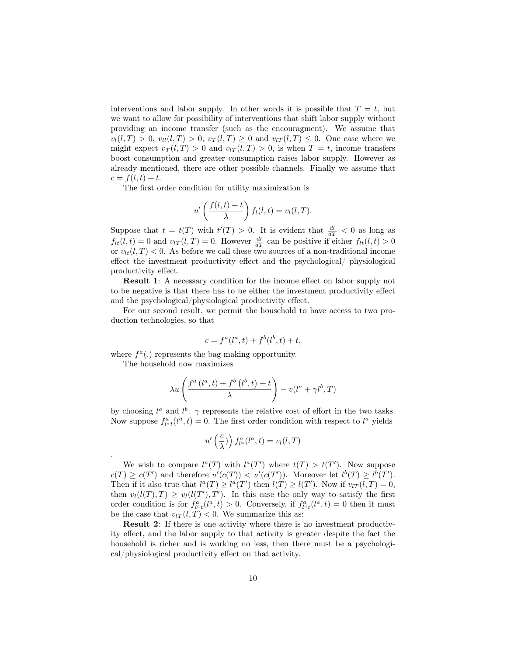interventions and labor supply. In other words it is possible that  $T = t$ , but we want to allow for possibility of interventions that shift labor supply without providing an income transfer (such as the encouragment). We assume that  $v_l(l,T) > 0$ ,  $v_{ll}(l,T) > 0$ ,  $v_T(l,T) \geq 0$  and  $v_{lT}(l,T) \leq 0$ . One case where we might expect  $v_T(l,T) > 0$  and  $v_{lT}(l,T) > 0$ , is when  $T = t$ , income transfers boost consumption and greater consumption raises labor supply. However as already mentioned, there are other possible channels. Finally we assume that  $c = f(l, t) + t.$ 

The first order condition for utility maximization is

$$
u'\left(\frac{f(l,t)+t}{\lambda}\right)f_l(l,t)=v_l(l,T).
$$

Suppose that  $t = t(T)$  with  $t'(T) > 0$ . It is evident that  $\frac{dl}{dT} < 0$  as long as  $f_{lt}(l,t) = 0$  and  $v_{lT}(l,T) = 0$ . However  $\frac{dl}{dT}$  can be positive if either  $f_{lt}(l,t) > 0$ or  $v_{lt}(l, T) < 0$ . As before we call these two sources of a non-traditional income effect the investment productivity effect and the psychological/ physiological productivity effect.

Result 1: A necessary condition for the income effect on labor supply not to be negative is that there has to be either the investment productivity effect and the psychological/physiological productivity effect.

For our second result, we permit the household to have access to two production technologies, so that

$$
c = f^a(l^a, t) + f^b(l^b, t) + t,
$$

where  $f^a(.)$  represents the bag making opportunity.

The household now maximizes

.

$$
\lambda u \left( \frac{f^a\left(l^a,t\right) + f^b\left(l^b,t\right) + t}{\lambda} \right) - v(l^a + \gamma l^b,T)
$$

by choosing  $l^a$  and  $l^b$ .  $\gamma$  represents the relative cost of effort in the two tasks. Now suppose  $f_{l}^{a}{}_{t}(l^{a},t) = 0$ . The first order condition with respect to  $l^{a}$  yields

$$
u'\left(\frac{c}{\lambda}\right)\Big) \, f_{l^a}^a(l^a, t) = v_l(l, T)
$$

We wish to compare  $l^a(T)$  with  $l^a(T')$  where  $t(T) > t(T')$ . Now suppose  $c(T) \geq c(T')$  and therefore  $u'(c(T)) < u'(c(T'))$ . Moreover let  $l^b(T) \geq l^b(T')$ . Then if it also true that  $l^a(T) \geq l^a(T')$  then  $l(T) \geq l(T')$ . Now if  $v_{lT}(l, T) = 0$ , then  $v_l(l(T), T) \ge v_l(l(T'), T')$ . In this case the only way to satisfy the first order condition is for  $f_{l}^{a}{}_{t}(l^{a},t) > 0$ . Conversely, if  $f_{l}^{a}{}_{t}(l^{a},t) = 0$  then it must be the case that  $v_{lT}(l, T) < 0$ . We summarize this as:

Result 2: If there is one activity where there is no investment productivity effect, and the labor supply to that activity is greater despite the fact the household is richer and is working no less, then there must be a psychological/physiological productivity effect on that activity.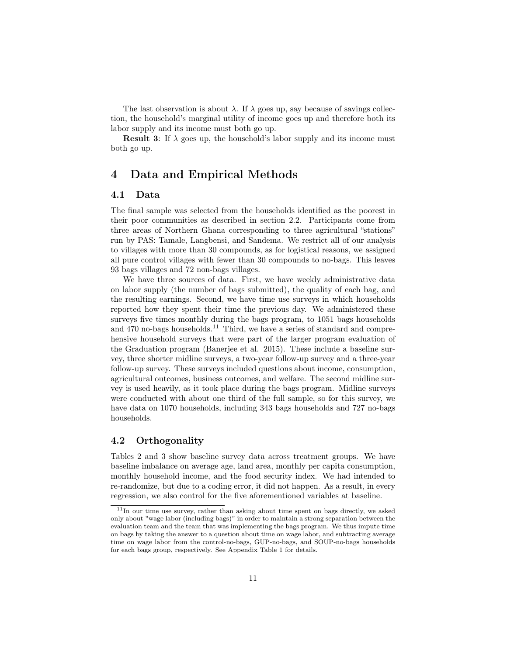The last observation is about  $\lambda$ . If  $\lambda$  goes up, say because of savings collection, the household's marginal utility of income goes up and therefore both its labor supply and its income must both go up.

**Result 3:** If  $\lambda$  goes up, the household's labor supply and its income must both go up.

# 4 Data and Empirical Methods

#### 4.1 Data

The final sample was selected from the households identified as the poorest in their poor communities as described in section 2.2. Participants come from three areas of Northern Ghana corresponding to three agricultural "stations" run by PAS: Tamale, Langbensi, and Sandema. We restrict all of our analysis to villages with more than 30 compounds, as for logistical reasons, we assigned all pure control villages with fewer than 30 compounds to no-bags. This leaves 93 bags villages and 72 non-bags villages.

We have three sources of data. First, we have weekly administrative data on labor supply (the number of bags submitted), the quality of each bag, and the resulting earnings. Second, we have time use surveys in which households reported how they spent their time the previous day. We administered these surveys five times monthly during the bags program, to 1051 bags households and  $470$  no-bags households.<sup>11</sup> Third, we have a series of standard and comprehensive household surveys that were part of the larger program evaluation of the Graduation program (Banerjee et al. 2015). These include a baseline survey, three shorter midline surveys, a two-year follow-up survey and a three-year follow-up survey. These surveys included questions about income, consumption, agricultural outcomes, business outcomes, and welfare. The second midline survey is used heavily, as it took place during the bags program. Midline surveys were conducted with about one third of the full sample, so for this survey, we have data on 1070 households, including 343 bags households and 727 no-bags households.

### 4.2 Orthogonality

Tables 2 and 3 show baseline survey data across treatment groups. We have baseline imbalance on average age, land area, monthly per capita consumption, monthly household income, and the food security index. We had intended to re-randomize, but due to a coding error, it did not happen. As a result, in every regression, we also control for the five aforementioned variables at baseline.

<sup>&</sup>lt;sup>11</sup>In our time use survey, rather than asking about time spent on bags directly, we asked only about "wage labor (including bags)" in order to maintain a strong separation between the evaluation team and the team that was implementing the bags program. We thus impute time on bags by taking the answer to a question about time on wage labor, and subtracting average time on wage labor from the control-no-bags, GUP-no-bags, and SOUP-no-bags households for each bags group, respectively. See Appendix Table 1 for details.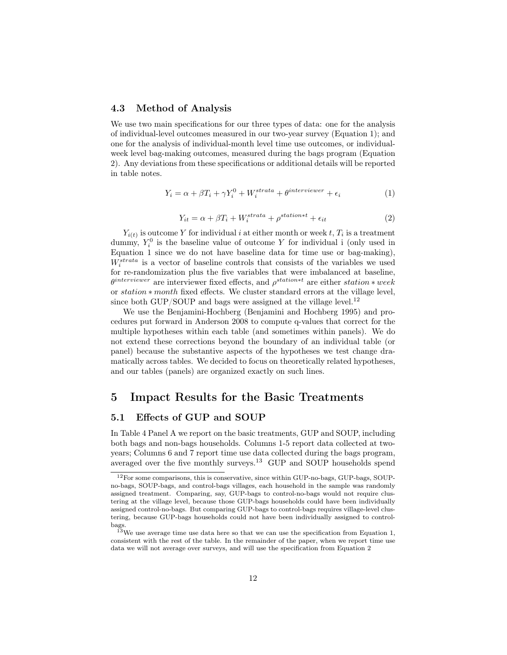#### 4.3 Method of Analysis

We use two main specifications for our three types of data: one for the analysis of individual-level outcomes measured in our two-year survey (Equation 1); and one for the analysis of individual-month level time use outcomes, or individualweek level bag-making outcomes, measured during the bags program (Equation 2). Any deviations from these specifications or additional details will be reported in table notes.

$$
Y_i = \alpha + \beta T_i + \gamma Y_i^0 + W_i^{strata} + \theta^{interviewer} + \epsilon_i \tag{1}
$$

$$
Y_{it} = \alpha + \beta T_i + W_i^{strata} + \rho^{station*t} + \epsilon_{it}
$$
\n<sup>(2)</sup>

 $Y_{i(t)}$  is outcome Y for individual i at either month or week t,  $T_i$  is a treatment dummy,  $Y_i^0$  is the baseline value of outcome Y for individual i (only used in Equation 1 since we do not have baseline data for time use or bag-making),  $W_i^{strata}$  is a vector of baseline controls that consists of the variables we used for re-randomization plus the five variables that were imbalanced at baseline,  $\theta^{interviewer}$  are interviewer fixed effects, and  $\rho^{station*t}$  are either station  $*$  week or station ∗ month fixed effects. We cluster standard errors at the village level, since both GUP/SOUP and bags were assigned at the village level.<sup>12</sup>

We use the Benjamini-Hochberg (Benjamini and Hochberg 1995) and procedures put forward in Anderson 2008 to compute q-values that correct for the multiple hypotheses within each table (and sometimes within panels). We do not extend these corrections beyond the boundary of an individual table (or panel) because the substantive aspects of the hypotheses we test change dramatically across tables. We decided to focus on theoretically related hypotheses, and our tables (panels) are organized exactly on such lines.

# 5 Impact Results for the Basic Treatments

#### 5.1 Effects of GUP and SOUP

In Table 4 Panel A we report on the basic treatments, GUP and SOUP, including both bags and non-bags households. Columns 1-5 report data collected at twoyears; Columns 6 and 7 report time use data collected during the bags program, averaged over the five monthly surveys.<sup>13</sup> GUP and SOUP households spend

<sup>12</sup>For some comparisons, this is conservative, since within GUP-no-bags, GUP-bags, SOUPno-bags, SOUP-bags, and control-bags villages, each household in the sample was randomly assigned treatment. Comparing, say, GUP-bags to control-no-bags would not require clustering at the village level, because those GUP-bags households could have been individually assigned control-no-bags. But comparing GUP-bags to control-bags requires village-level clustering, because GUP-bags households could not have been individually assigned to controlbags.

<sup>&</sup>lt;sup>13</sup>We use average time use data here so that we can use the specification from Equation 1, consistent with the rest of the table. In the remainder of the paper, when we report time use data we will not average over surveys, and will use the specification from Equation 2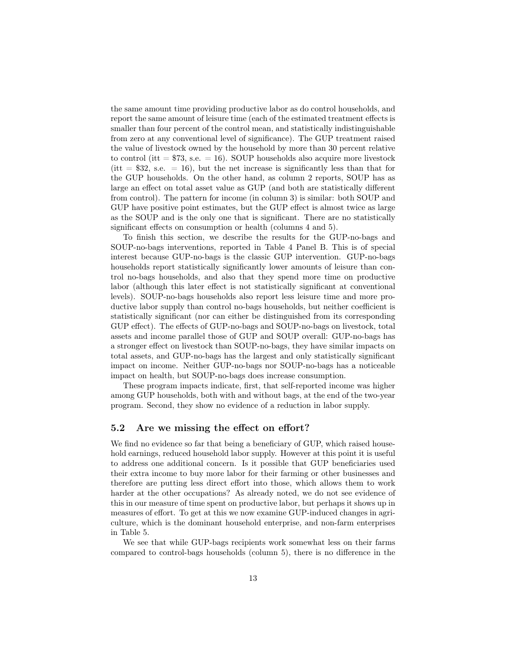the same amount time providing productive labor as do control households, and report the same amount of leisure time (each of the estimated treatment effects is smaller than four percent of the control mean, and statistically indistinguishable from zero at any conventional level of significance). The GUP treatment raised the value of livestock owned by the household by more than 30 percent relative to control (itt  $= $73$ , s.e.  $= 16$ ). SOUP households also acquire more livestock (itt  $= $32$ , s.e.  $= 16$ ), but the net increase is significantly less than that for the GUP households. On the other hand, as column 2 reports, SOUP has as large an effect on total asset value as GUP (and both are statistically different from control). The pattern for income (in column 3) is similar: both SOUP and GUP have positive point estimates, but the GUP effect is almost twice as large as the SOUP and is the only one that is significant. There are no statistically significant effects on consumption or health (columns 4 and 5).

To finish this section, we describe the results for the GUP-no-bags and SOUP-no-bags interventions, reported in Table 4 Panel B. This is of special interest because GUP-no-bags is the classic GUP intervention. GUP-no-bags households report statistically significantly lower amounts of leisure than control no-bags households, and also that they spend more time on productive labor (although this later effect is not statistically significant at conventional levels). SOUP-no-bags households also report less leisure time and more productive labor supply than control no-bags households, but neither coefficient is statistically significant (nor can either be distinguished from its corresponding GUP effect). The effects of GUP-no-bags and SOUP-no-bags on livestock, total assets and income parallel those of GUP and SOUP overall: GUP-no-bags has a stronger effect on livestock than SOUP-no-bags, they have similar impacts on total assets, and GUP-no-bags has the largest and only statistically significant impact on income. Neither GUP-no-bags nor SOUP-no-bags has a noticeable impact on health, but SOUP-no-bags does increase consumption.

These program impacts indicate, first, that self-reported income was higher among GUP households, both with and without bags, at the end of the two-year program. Second, they show no evidence of a reduction in labor supply.

#### 5.2 Are we missing the effect on effort?

We find no evidence so far that being a beneficiary of GUP, which raised household earnings, reduced household labor supply. However at this point it is useful to address one additional concern. Is it possible that GUP beneficiaries used their extra income to buy more labor for their farming or other businesses and therefore are putting less direct effort into those, which allows them to work harder at the other occupations? As already noted, we do not see evidence of this in our measure of time spent on productive labor, but perhaps it shows up in measures of effort. To get at this we now examine GUP-induced changes in agriculture, which is the dominant household enterprise, and non-farm enterprises in Table 5.

We see that while GUP-bags recipients work somewhat less on their farms compared to control-bags households (column 5), there is no difference in the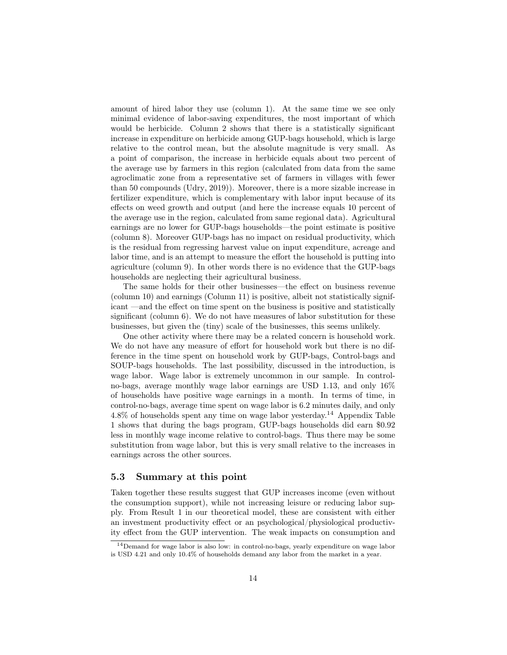amount of hired labor they use (column 1). At the same time we see only minimal evidence of labor-saving expenditures, the most important of which would be herbicide. Column 2 shows that there is a statistically significant increase in expenditure on herbicide among GUP-bags household, which is large relative to the control mean, but the absolute magnitude is very small. As a point of comparison, the increase in herbicide equals about two percent of the average use by farmers in this region (calculated from data from the same agroclimatic zone from a representative set of farmers in villages with fewer than 50 compounds (Udry, 2019)). Moreover, there is a more sizable increase in fertilizer expenditure, which is complementary with labor input because of its effects on weed growth and output (and here the increase equals 10 percent of the average use in the region, calculated from same regional data). Agricultural earnings are no lower for GUP-bags households—the point estimate is positive (column 8). Moreover GUP-bags has no impact on residual productivity, which is the residual from regressing harvest value on input expenditure, acreage and labor time, and is an attempt to measure the effort the household is putting into agriculture (column 9). In other words there is no evidence that the GUP-bags households are neglecting their agricultural business.

The same holds for their other businesses—the effect on business revenue (column 10) and earnings (Column 11) is positive, albeit not statistically significant —and the effect on time spent on the business is positive and statistically significant (column 6). We do not have measures of labor substitution for these businesses, but given the (tiny) scale of the businesses, this seems unlikely.

One other activity where there may be a related concern is household work. We do not have any measure of effort for household work but there is no difference in the time spent on household work by GUP-bags, Control-bags and SOUP-bags households. The last possibility, discussed in the introduction, is wage labor. Wage labor is extremely uncommon in our sample. In controlno-bags, average monthly wage labor earnings are USD 1.13, and only 16% of households have positive wage earnings in a month. In terms of time, in control-no-bags, average time spent on wage labor is 6.2 minutes daily, and only  $4.8\%$  of households spent any time on wage labor yesterday.<sup>14</sup> Appendix Table 1 shows that during the bags program, GUP-bags households did earn \$0.92 less in monthly wage income relative to control-bags. Thus there may be some substitution from wage labor, but this is very small relative to the increases in earnings across the other sources.

#### 5.3 Summary at this point

Taken together these results suggest that GUP increases income (even without the consumption support), while not increasing leisure or reducing labor supply. From Result 1 in our theoretical model, these are consistent with either an investment productivity effect or an psychological/physiological productivity effect from the GUP intervention. The weak impacts on consumption and

<sup>&</sup>lt;sup>14</sup>Demand for wage labor is also low: in control-no-bags, yearly expenditure on wage labor is USD 4.21 and only 10.4% of households demand any labor from the market in a year.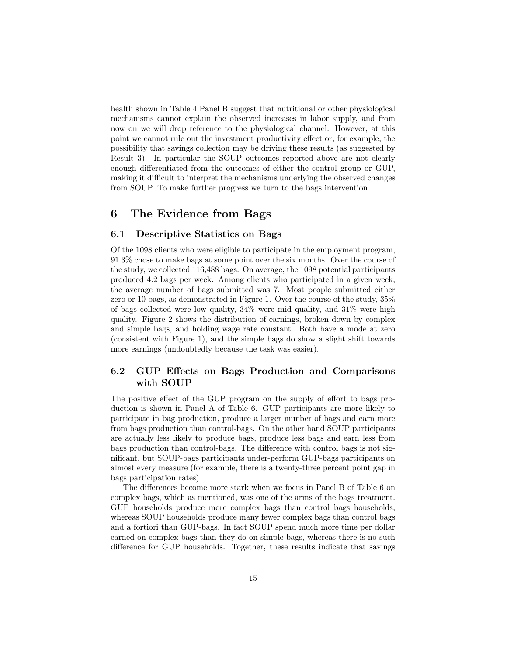health shown in Table 4 Panel B suggest that nutritional or other physiological mechanisms cannot explain the observed increases in labor supply, and from now on we will drop reference to the physiological channel. However, at this point we cannot rule out the investment productivity effect or, for example, the possibility that savings collection may be driving these results (as suggested by Result 3). In particular the SOUP outcomes reported above are not clearly enough differentiated from the outcomes of either the control group or GUP, making it difficult to interpret the mechanisms underlying the observed changes from SOUP. To make further progress we turn to the bags intervention.

# 6 The Evidence from Bags

#### 6.1 Descriptive Statistics on Bags

Of the 1098 clients who were eligible to participate in the employment program, 91.3% chose to make bags at some point over the six months. Over the course of the study, we collected 116,488 bags. On average, the 1098 potential participants produced 4.2 bags per week. Among clients who participated in a given week, the average number of bags submitted was 7. Most people submitted either zero or 10 bags, as demonstrated in Figure 1. Over the course of the study, 35% of bags collected were low quality, 34% were mid quality, and 31% were high quality. Figure 2 shows the distribution of earnings, broken down by complex and simple bags, and holding wage rate constant. Both have a mode at zero (consistent with Figure 1), and the simple bags do show a slight shift towards more earnings (undoubtedly because the task was easier).

### 6.2 GUP Effects on Bags Production and Comparisons with SOUP

The positive effect of the GUP program on the supply of effort to bags production is shown in Panel A of Table 6. GUP participants are more likely to participate in bag production, produce a larger number of bags and earn more from bags production than control-bags. On the other hand SOUP participants are actually less likely to produce bags, produce less bags and earn less from bags production than control-bags. The difference with control bags is not significant, but SOUP-bags participants under-perform GUP-bags participants on almost every measure (for example, there is a twenty-three percent point gap in bags participation rates)

The differences become more stark when we focus in Panel B of Table 6 on complex bags, which as mentioned, was one of the arms of the bags treatment. GUP households produce more complex bags than control bags households, whereas SOUP households produce many fewer complex bags than control bags and a fortiori than GUP-bags. In fact SOUP spend much more time per dollar earned on complex bags than they do on simple bags, whereas there is no such difference for GUP households. Together, these results indicate that savings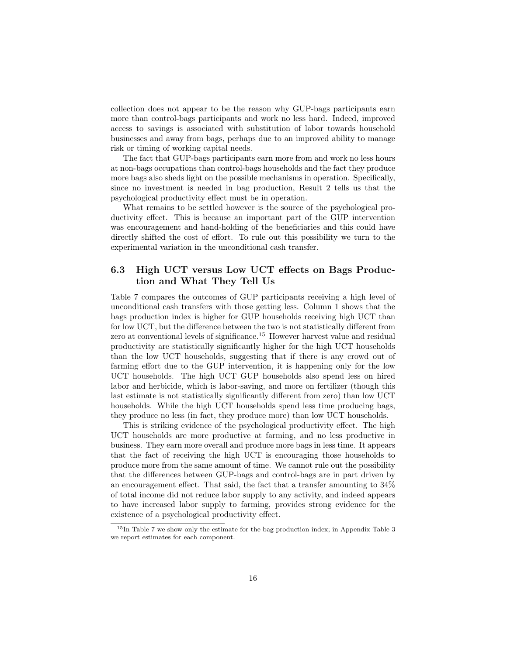collection does not appear to be the reason why GUP-bags participants earn more than control-bags participants and work no less hard. Indeed, improved access to savings is associated with substitution of labor towards household businesses and away from bags, perhaps due to an improved ability to manage risk or timing of working capital needs.

The fact that GUP-bags participants earn more from and work no less hours at non-bags occupations than control-bags households and the fact they produce more bags also sheds light on the possible mechanisms in operation. Specifically, since no investment is needed in bag production, Result 2 tells us that the psychological productivity effect must be in operation.

What remains to be settled however is the source of the psychological productivity effect. This is because an important part of the GUP intervention was encouragement and hand-holding of the beneficiaries and this could have directly shifted the cost of effort. To rule out this possibility we turn to the experimental variation in the unconditional cash transfer.

### 6.3 High UCT versus Low UCT effects on Bags Production and What They Tell Us

Table 7 compares the outcomes of GUP participants receiving a high level of unconditional cash transfers with those getting less. Column 1 shows that the bags production index is higher for GUP households receiving high UCT than for low UCT, but the difference between the two is not statistically different from zero at conventional levels of significance.<sup>15</sup> However harvest value and residual productivity are statistically significantly higher for the high UCT households than the low UCT households, suggesting that if there is any crowd out of farming effort due to the GUP intervention, it is happening only for the low UCT households. The high UCT GUP households also spend less on hired labor and herbicide, which is labor-saving, and more on fertilizer (though this last estimate is not statistically significantly different from zero) than low UCT households. While the high UCT households spend less time producing bags, they produce no less (in fact, they produce more) than low UCT households.

This is striking evidence of the psychological productivity effect. The high UCT households are more productive at farming, and no less productive in business. They earn more overall and produce more bags in less time. It appears that the fact of receiving the high UCT is encouraging those households to produce more from the same amount of time. We cannot rule out the possibility that the differences between GUP-bags and control-bags are in part driven by an encouragement effect. That said, the fact that a transfer amounting to 34% of total income did not reduce labor supply to any activity, and indeed appears to have increased labor supply to farming, provides strong evidence for the existence of a psychological productivity effect.

<sup>&</sup>lt;sup>15</sup>In Table 7 we show only the estimate for the bag production index; in Appendix Table 3 we report estimates for each component.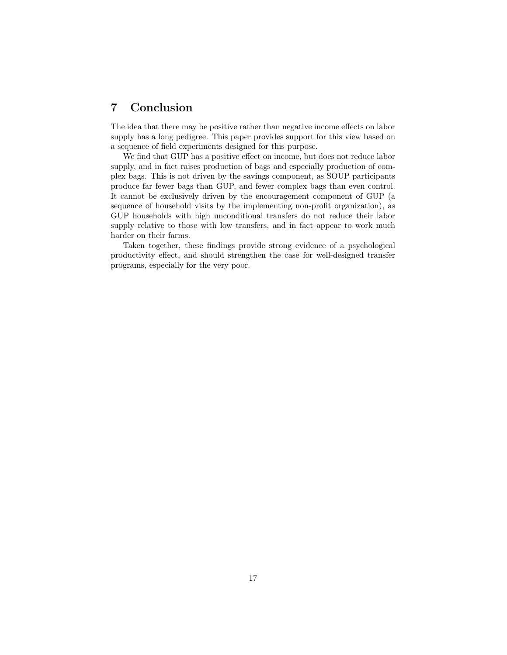# 7 Conclusion

The idea that there may be positive rather than negative income effects on labor supply has a long pedigree. This paper provides support for this view based on a sequence of field experiments designed for this purpose.

We find that GUP has a positive effect on income, but does not reduce labor supply, and in fact raises production of bags and especially production of complex bags. This is not driven by the savings component, as SOUP participants produce far fewer bags than GUP, and fewer complex bags than even control. It cannot be exclusively driven by the encouragement component of GUP (a sequence of household visits by the implementing non-profit organization), as GUP households with high unconditional transfers do not reduce their labor supply relative to those with low transfers, and in fact appear to work much harder on their farms.

Taken together, these findings provide strong evidence of a psychological productivity effect, and should strengthen the case for well-designed transfer programs, especially for the very poor.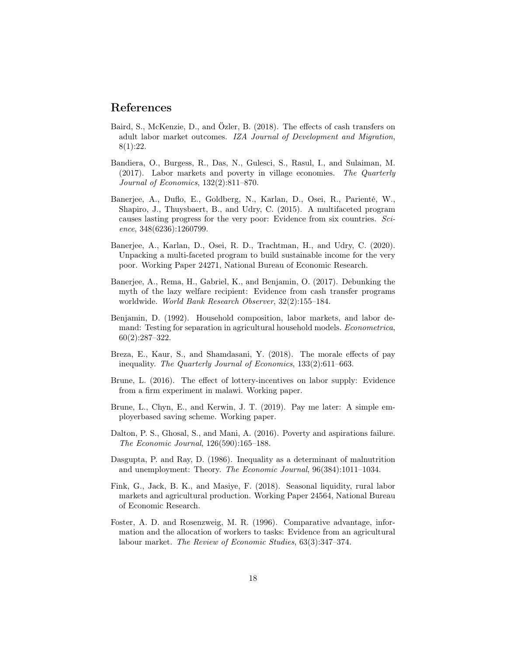### References

- Baird, S., McKenzie, D., and Özler, B. (2018). The effects of cash transfers on adult labor market outcomes. IZA Journal of Development and Migration, 8(1):22.
- Bandiera, O., Burgess, R., Das, N., Gulesci, S., Rasul, I., and Sulaiman, M. (2017). Labor markets and poverty in village economies. The Quarterly Journal of Economics, 132(2):811–870.
- Banerjee, A., Duflo, E., Goldberg, N., Karlan, D., Osei, R., Parienté, W., Shapiro, J., Thuysbaert, B., and Udry, C. (2015). A multifaceted program causes lasting progress for the very poor: Evidence from six countries. Science, 348(6236):1260799.
- Banerjee, A., Karlan, D., Osei, R. D., Trachtman, H., and Udry, C. (2020). Unpacking a multi-faceted program to build sustainable income for the very poor. Working Paper 24271, National Bureau of Economic Research.
- Banerjee, A., Rema, H., Gabriel, K., and Benjamin, O. (2017). Debunking the myth of the lazy welfare recipient: Evidence from cash transfer programs worldwide. World Bank Research Observer, 32(2):155–184.
- Benjamin, D. (1992). Household composition, labor markets, and labor demand: Testing for separation in agricultural household models. Econometrica,  $60(2):287-322.$
- Breza, E., Kaur, S., and Shamdasani, Y. (2018). The morale effects of pay inequality. The Quarterly Journal of Economics, 133(2):611–663.
- Brune, L. (2016). The effect of lottery-incentives on labor supply: Evidence from a firm experiment in malawi. Working paper.
- Brune, L., Chyn, E., and Kerwin, J. T. (2019). Pay me later: A simple employerbased saving scheme. Working paper.
- Dalton, P. S., Ghosal, S., and Mani, A. (2016). Poverty and aspirations failure. The Economic Journal, 126(590):165–188.
- Dasgupta, P. and Ray, D. (1986). Inequality as a determinant of malnutrition and unemployment: Theory. The Economic Journal, 96(384):1011–1034.
- Fink, G., Jack, B. K., and Masiye, F. (2018). Seasonal liquidity, rural labor markets and agricultural production. Working Paper 24564, National Bureau of Economic Research.
- Foster, A. D. and Rosenzweig, M. R. (1996). Comparative advantage, information and the allocation of workers to tasks: Evidence from an agricultural labour market. The Review of Economic Studies, 63(3):347–374.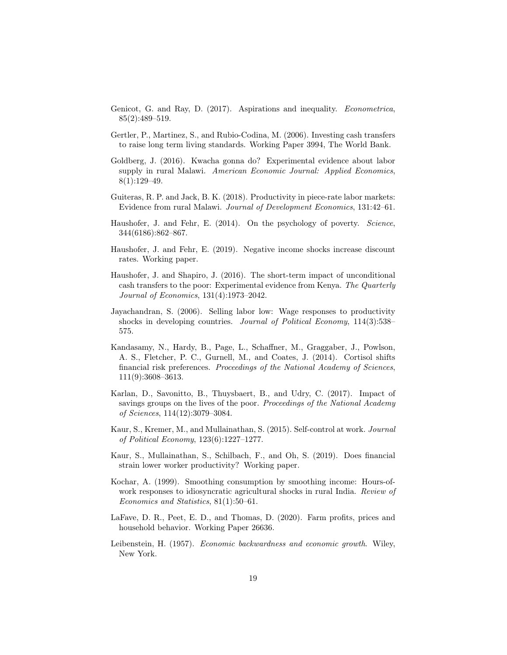- Genicot, G. and Ray, D. (2017). Aspirations and inequality. Econometrica, 85(2):489–519.
- Gertler, P., Martinez, S., and Rubio-Codina, M. (2006). Investing cash transfers to raise long term living standards. Working Paper 3994, The World Bank.
- Goldberg, J. (2016). Kwacha gonna do? Experimental evidence about labor supply in rural Malawi. American Economic Journal: Applied Economics, 8(1):129–49.
- Guiteras, R. P. and Jack, B. K. (2018). Productivity in piece-rate labor markets: Evidence from rural Malawi. Journal of Development Economics, 131:42–61.
- Haushofer, J. and Fehr, E. (2014). On the psychology of poverty. Science, 344(6186):862–867.
- Haushofer, J. and Fehr, E. (2019). Negative income shocks increase discount rates. Working paper.
- Haushofer, J. and Shapiro, J. (2016). The short-term impact of unconditional cash transfers to the poor: Experimental evidence from Kenya. The Quarterly Journal of Economics, 131(4):1973–2042.
- Jayachandran, S. (2006). Selling labor low: Wage responses to productivity shocks in developing countries. Journal of Political Economy, 114(3):538– 575.
- Kandasamy, N., Hardy, B., Page, L., Schaffner, M., Graggaber, J., Powlson, A. S., Fletcher, P. C., Gurnell, M., and Coates, J. (2014). Cortisol shifts financial risk preferences. Proceedings of the National Academy of Sciences, 111(9):3608–3613.
- Karlan, D., Savonitto, B., Thuysbaert, B., and Udry, C. (2017). Impact of savings groups on the lives of the poor. Proceedings of the National Academy of Sciences, 114(12):3079–3084.
- Kaur, S., Kremer, M., and Mullainathan, S. (2015). Self-control at work. Journal of Political Economy, 123(6):1227–1277.
- Kaur, S., Mullainathan, S., Schilbach, F., and Oh, S. (2019). Does financial strain lower worker productivity? Working paper.
- Kochar, A. (1999). Smoothing consumption by smoothing income: Hours-ofwork responses to idiosyncratic agricultural shocks in rural India. Review of Economics and Statistics, 81(1):50–61.
- LaFave, D. R., Peet, E. D., and Thomas, D. (2020). Farm profits, prices and household behavior. Working Paper 26636.
- Leibenstein, H. (1957). Economic backwardness and economic growth. Wiley, New York.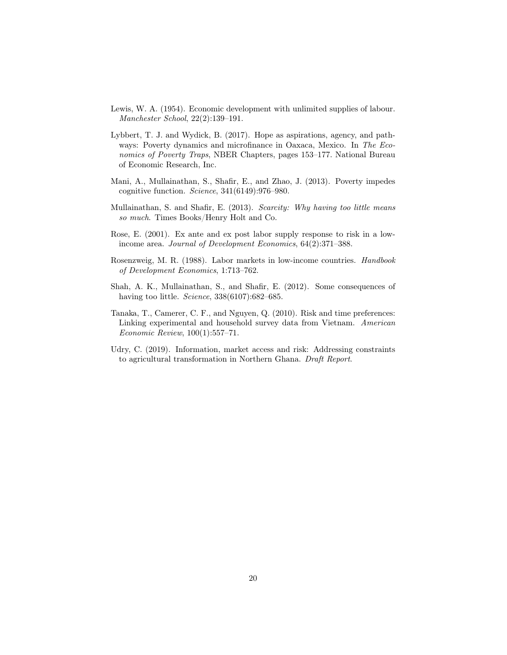- Lewis, W. A. (1954). Economic development with unlimited supplies of labour. Manchester School, 22(2):139–191.
- Lybbert, T. J. and Wydick, B. (2017). Hope as aspirations, agency, and pathways: Poverty dynamics and microfinance in Oaxaca, Mexico. In The Economics of Poverty Traps, NBER Chapters, pages 153–177. National Bureau of Economic Research, Inc.
- Mani, A., Mullainathan, S., Shafir, E., and Zhao, J. (2013). Poverty impedes cognitive function. Science, 341(6149):976–980.
- Mullainathan, S. and Shafir, E. (2013). Scarcity: Why having too little means so much. Times Books/Henry Holt and Co.
- Rose, E. (2001). Ex ante and ex post labor supply response to risk in a lowincome area. Journal of Development Economics, 64(2):371–388.
- Rosenzweig, M. R. (1988). Labor markets in low-income countries. Handbook of Development Economics, 1:713–762.
- Shah, A. K., Mullainathan, S., and Shafir, E. (2012). Some consequences of having too little. *Science*, 338(6107):682–685.
- Tanaka, T., Camerer, C. F., and Nguyen, Q. (2010). Risk and time preferences: Linking experimental and household survey data from Vietnam. American Economic Review, 100(1):557–71.
- Udry, C. (2019). Information, market access and risk: Addressing constraints to agricultural transformation in Northern Ghana. Draft Report.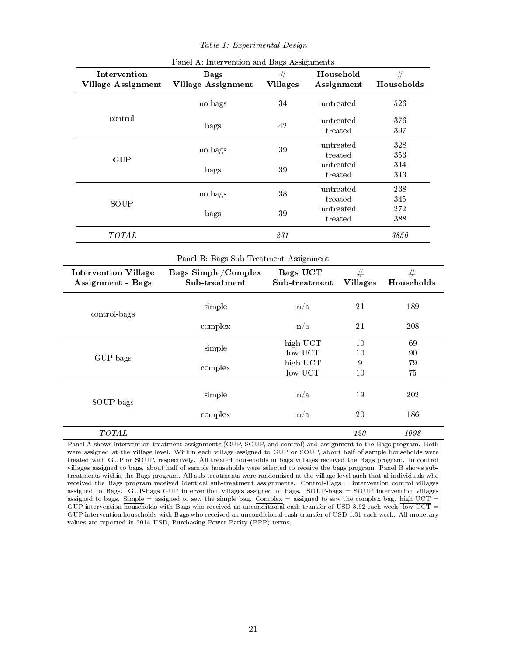#### Table 1: Experimental Design

| Intervention<br><b>Village Assignment</b>               | <b>Bags</b><br><b>Village Assignment</b>    | #<br><b>Villages</b>             | Household<br>Assignment | #<br>Households |
|---------------------------------------------------------|---------------------------------------------|----------------------------------|-------------------------|-----------------|
|                                                         | no bags                                     | 34                               | untreated               | 526             |
| control                                                 | bags                                        | 42                               | untreated<br>treated    | 376<br>397      |
| GUP                                                     | no bags                                     | 39                               | untreated<br>treated    | 328<br>353      |
|                                                         | bags                                        | 39                               | untreated<br>treated    | 314<br>313      |
|                                                         | no bags                                     | 38                               | untreated<br>treated    | 238<br>345      |
| SOUP                                                    | bags                                        | 39                               | untreated<br>treated    | 272<br>388      |
| TOTAL                                                   |                                             | 231                              |                         | 3850            |
|                                                         | Panel B: Bags Sub-Treatment Assignment      |                                  |                         |                 |
| <b>Intervention Village</b><br><b>Assignment</b> - Bags | <b>Bags Simple/Complex</b><br>Sub-treatment | <b>Bags UCT</b><br>Sub-treatment | #<br><b>Villages</b>    | #<br>Households |
| control-bags                                            | simple                                      | n/a                              | 21                      | 189             |
|                                                         | complex                                     | n/a                              | 21                      | 208             |
|                                                         | simple                                      | high UCT<br>low UCT              | $10\,$<br>$10\,$        | 69<br>90        |
| GUP-bags                                                | complex                                     | high UCT<br>low UCT              | 9<br>10                 | 79<br>75        |
| SOUP-bags                                               | simple                                      | n/a                              | 19                      | 202             |
|                                                         | complex                                     | n/a                              | 20                      | 186             |

#### Panel A: Intervention and Bags Assignments

 $\text{TOTAL}$  120 1098 Panel A shows intervention treatment assignments (GUP, SOUP, and control) and assignment to the Bags program. Both were assigned at the village level. Within each village assigned to GUP or SOUP, about half of sample households were treated with GUP or SOUP, respectively. All treated households in bags villages received the Bags program. In control villages assigned to bags, about half of sample households were selected to receive the bags program. Panel B shows subtreatments within the Bags program. All sub-treatments were randomized at the village level such that al individuals who received the Bags program received identical sub-treatment assignments. Control-Bags = intervention control villages assigned to Bags. GUP-bags GUP intervention villages assigned to bags. SOUP-bags = SOUP intervention villages assigned to bags. Simple = assigned to sew the simple bag. Complex = assigned to sew the complex bag. high UCT =

GUP intervention households with Bags who received an unconditional cash transfer of USD 3.92 each week. low UCT = GUP intervention households with Bags who received an unconditional cash transfer of USD 1.31 each week. All monetary values are reported in 2014 USD, Purchasing Power Parity (PPP) terms.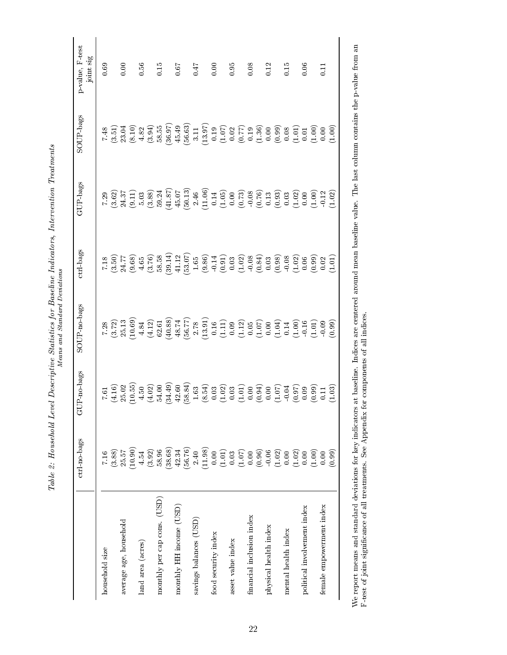Table 2: Household Level Descriptive Statistics for Baseline Indicators, Intervention Treatments Table 2: Household Level Descriptive Statistics for Baseline Indicators, Intervention Treatments Means and Standard Deviations

| 716<br>household size                                                                        |                                                                                                                                                                                                                                                                                                     | ctrl-bags                                                                                                                                                                                                                                                                                                     | GUP-bags                                                                                                                                                                                                                                                                                            | SOUP-bags                                                                                                                                                                                                                                                                                                      | p-value, F-test<br>$\mathsf{joint}\ \mathsf{sig}$ |
|----------------------------------------------------------------------------------------------|-----------------------------------------------------------------------------------------------------------------------------------------------------------------------------------------------------------------------------------------------------------------------------------------------------|---------------------------------------------------------------------------------------------------------------------------------------------------------------------------------------------------------------------------------------------------------------------------------------------------------------|-----------------------------------------------------------------------------------------------------------------------------------------------------------------------------------------------------------------------------------------------------------------------------------------------------|----------------------------------------------------------------------------------------------------------------------------------------------------------------------------------------------------------------------------------------------------------------------------------------------------------------|---------------------------------------------------|
| (3.88)                                                                                       |                                                                                                                                                                                                                                                                                                     |                                                                                                                                                                                                                                                                                                               |                                                                                                                                                                                                                                                                                                     |                                                                                                                                                                                                                                                                                                                | 0.69                                              |
| (10.90)<br>25.57<br>average age, household                                                   |                                                                                                                                                                                                                                                                                                     |                                                                                                                                                                                                                                                                                                               |                                                                                                                                                                                                                                                                                                     |                                                                                                                                                                                                                                                                                                                | 0.00                                              |
| 4.54<br>land area (acres)                                                                    |                                                                                                                                                                                                                                                                                                     |                                                                                                                                                                                                                                                                                                               |                                                                                                                                                                                                                                                                                                     |                                                                                                                                                                                                                                                                                                                | 0.56                                              |
| (38.68)<br>(3.92)<br>58.96<br>monthly per cap cons. (USD)                                    | $\begin{array}{l} 1.616 \\ 1.617 \\ 1.628 \\ 1.639 \\ 1.640 \\ 1.650 \\ 1.660 \\ 1.670 \\ 1.690 \\ 1.600 \\ 1.600 \\ 1.600 \\ 1.600 \\ 1.600 \\ 1.600 \\ 1.600 \\ 1.600 \\ 1.600 \\ 1.600 \\ 1.600 \\ 1.600 \\ 1.600 \\ 1.600 \\ 1.600 \\ 1.600 \\ 1.600 \\ 1.600 \\ 1.600 \\ 1.600 \\ 1.600 \\ 1.$ | $\begin{array}{l} 1.35 \\ 1.46 \\ 1.57 \\ 1.69 \\ 1.75 \\ 1.86 \\ 1.67 \\ 1.68 \\ 1.69 \\ 1.60 \\ 1.60 \\ 1.60 \\ 1.60 \\ 1.60 \\ 1.60 \\ 1.60 \\ 1.60 \\ 1.60 \\ 1.60 \\ 1.60 \\ 1.60 \\ 1.60 \\ 1.60 \\ 1.60 \\ 1.60 \\ 1.60 \\ 1.60 \\ 1.60 \\ 1.60 \\ 1.60 \\ 1.60 \\ 1.60 \\ 1.60 \\ 1.60 \\ 1.60 \\ 1.$ | $\begin{array}{l} 23.635 \\ 7.627 \\ 8.639 \\ 1.439 \\ 1.450 \\ 1.450 \\ 1.450 \\ 1.450 \\ 1.450 \\ 1.450 \\ 1.450 \\ 1.450 \\ 1.450 \\ 1.450 \\ 1.450 \\ 1.450 \\ 1.450 \\ 1.450 \\ 1.450 \\ 1.450 \\ 1.450 \\ 1.450 \\ 1.450 \\ 1.450 \\ 1.450 \\ 1.450 \\ 1.450 \\ 1.450 \\ 1.450 \\ 1.450 \\ 1$ | $\begin{array}{l} 7.43 \\[-4.8ex] 7.51 \\[-4.8ex] 7.51 \\[-4.8ex] 7.52 \\[-4.8ex] 8.33 \\[-4.8ex] 8.33 \\[-4.8ex] 8.33 \\[-4.8ex] 8.33 \\[-4.8ex] 8.33 \\[-4.8ex] 8.33 \\[-4.8ex] 8.33 \\[-4.8ex] 8.33 \\[-4.8ex] 8.33 \\[-4.8ex] 8.33 \\[-4.8ex] 8.33 \\[-4.8ex] 8.33 \\[-4.8ex] 8.33 \\[-4.8ex] 8.33 \\[-4.$ | 0.15                                              |
| (56.76)<br>42.34<br>monthly HH income (USD)                                                  |                                                                                                                                                                                                                                                                                                     |                                                                                                                                                                                                                                                                                                               |                                                                                                                                                                                                                                                                                                     |                                                                                                                                                                                                                                                                                                                | 0.67                                              |
| (11.98)<br>2.40<br>savings balances (USD)                                                    |                                                                                                                                                                                                                                                                                                     |                                                                                                                                                                                                                                                                                                               |                                                                                                                                                                                                                                                                                                     |                                                                                                                                                                                                                                                                                                                | 747                                               |
| food security index                                                                          |                                                                                                                                                                                                                                                                                                     |                                                                                                                                                                                                                                                                                                               |                                                                                                                                                                                                                                                                                                     |                                                                                                                                                                                                                                                                                                                | 0.00                                              |
| $\begin{array}{c} 0.00 \\ (1.01) \\ 0.03 \\ (1.07) \\ 0.00 \end{array}$<br>asset value index |                                                                                                                                                                                                                                                                                                     |                                                                                                                                                                                                                                                                                                               |                                                                                                                                                                                                                                                                                                     |                                                                                                                                                                                                                                                                                                                | 0.95                                              |
| financial inclusion index                                                                    |                                                                                                                                                                                                                                                                                                     |                                                                                                                                                                                                                                                                                                               |                                                                                                                                                                                                                                                                                                     |                                                                                                                                                                                                                                                                                                                | 0.08                                              |
| $\begin{array}{c} (0.96) \\ 0.06 \\ (1.02) \\ 0.00 \end{array}$<br>physical health index     |                                                                                                                                                                                                                                                                                                     |                                                                                                                                                                                                                                                                                                               |                                                                                                                                                                                                                                                                                                     |                                                                                                                                                                                                                                                                                                                | 0.12                                              |
| mental health index                                                                          |                                                                                                                                                                                                                                                                                                     |                                                                                                                                                                                                                                                                                                               |                                                                                                                                                                                                                                                                                                     |                                                                                                                                                                                                                                                                                                                | 0.15                                              |
| $\begin{array}{c} (1.02) \\ 0.00 \end{array}$<br>(1.00)<br>political involvement index       |                                                                                                                                                                                                                                                                                                     |                                                                                                                                                                                                                                                                                                               |                                                                                                                                                                                                                                                                                                     |                                                                                                                                                                                                                                                                                                                | 0.06                                              |
| (0.99)<br>0.00<br>female empowerment index                                                   |                                                                                                                                                                                                                                                                                                     |                                                                                                                                                                                                                                                                                                               |                                                                                                                                                                                                                                                                                                     |                                                                                                                                                                                                                                                                                                                | E                                                 |

We report means and standard deviations for key indicators at baseline. Indices are centered around mean baseline value. The last column contains the p-value from an  $F$ -test of joint significance of all treatments. See A We report means and standard deviations for key indicators at baseline. Indices are centered around mean baseline value. The last column contains the p-value from an F-test of joint signicance of all treatments. See Appendix for components of all indices.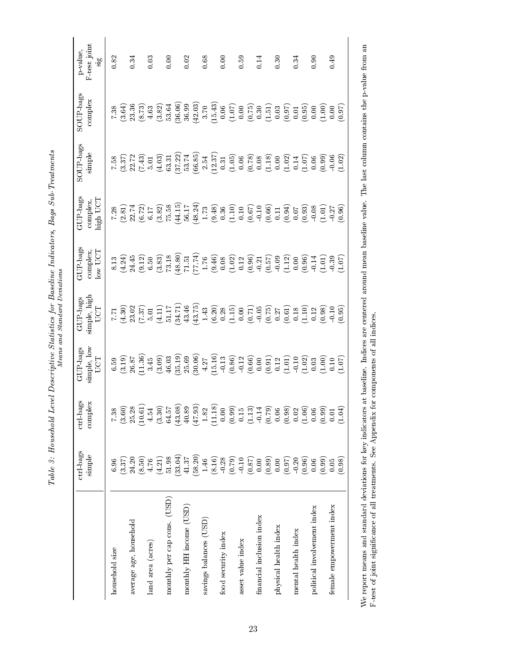| $+200 +$<br>J                                                                                                                                                                                                                         | $\overline{\phantom{a}}$<br>$\overline{a}$<br>۔<br>0<br>ì<br>ì<br>$\frac{1}{2}$<br>I |  |
|---------------------------------------------------------------------------------------------------------------------------------------------------------------------------------------------------------------------------------------|--------------------------------------------------------------------------------------|--|
| Į<br>$\frac{5}{3}$<br>ļ<br>.<br>.<br>ーくり<br>r on<br>ļ<br>-<br>-<br>-<br>;<br>;<br>;<br>ł<br>Í<br>)<br>S<br>ſ<br>ì<br>ׇ֧ׅ֜<br>֧ׅ֧֧֧֧ׅ֧ׅ֧֧֧֧֚֚֚֚֚֚֚֚֚֚֚֚֚֚֚֚֚֚֚֚֚֚֚֚֚֚֚֬֝֝֝֝֝֝֓֝֓֝֬֜֓֜֓֝֓֝֬֝֬<br>ì<br>ĺ<br>$\frac{1}{2}$<br>;<br>.<br>1 | ĺ<br>.<br>.                                                                          |  |

|                             | ctrl bags<br>simple                                     | $\mbox{ctrl-bags}$<br>complex                                                                                                                                       | $\frac{\text{simple, low}}{\text{UCT}}$<br>GUP-bags                                                                                                                                                                                                                                                           | $\frac{\text{simple}}{\text{UCT}}$<br>$\operatorname{GUP-bags}$ | GUP-bags<br>$\begin{array}{c}\text{complex,}\\ \text{low } \text{UCT}\end{array}$                                                                                                                                                                                                                   | GUP bags<br>$\underset{\text{high UCT}}{\text{complex}}$                                                                                                                                                                                                                                                      | SOUP-bags<br>simple                                                                                                                                                                                                                                                                                            | SOUP-bags<br>complex                                                                                                                                                                                                                                                                                                                                                                                                                                                                                                                     | p-value,<br>F-test joint<br>sig |
|-----------------------------|---------------------------------------------------------|---------------------------------------------------------------------------------------------------------------------------------------------------------------------|---------------------------------------------------------------------------------------------------------------------------------------------------------------------------------------------------------------------------------------------------------------------------------------------------------------|-----------------------------------------------------------------|-----------------------------------------------------------------------------------------------------------------------------------------------------------------------------------------------------------------------------------------------------------------------------------------------------|---------------------------------------------------------------------------------------------------------------------------------------------------------------------------------------------------------------------------------------------------------------------------------------------------------------|----------------------------------------------------------------------------------------------------------------------------------------------------------------------------------------------------------------------------------------------------------------------------------------------------------------|------------------------------------------------------------------------------------------------------------------------------------------------------------------------------------------------------------------------------------------------------------------------------------------------------------------------------------------------------------------------------------------------------------------------------------------------------------------------------------------------------------------------------------------|---------------------------------|
| household size              | (3.37)<br>6.96                                          | (3.60)<br>7.38                                                                                                                                                      |                                                                                                                                                                                                                                                                                                               |                                                                 |                                                                                                                                                                                                                                                                                                     |                                                                                                                                                                                                                                                                                                               |                                                                                                                                                                                                                                                                                                                |                                                                                                                                                                                                                                                                                                                                                                                                                                                                                                                                          | $\!0.82\!$                      |
| average age, household      | (8.50)<br>24.20                                         | (10.61)<br>25.28                                                                                                                                                    |                                                                                                                                                                                                                                                                                                               |                                                                 |                                                                                                                                                                                                                                                                                                     |                                                                                                                                                                                                                                                                                                               |                                                                                                                                                                                                                                                                                                                |                                                                                                                                                                                                                                                                                                                                                                                                                                                                                                                                          | 0.34                            |
| land area (acres)           | (4.21)<br>4.76                                          | (3.30)<br>4.54                                                                                                                                                      |                                                                                                                                                                                                                                                                                                               |                                                                 |                                                                                                                                                                                                                                                                                                     |                                                                                                                                                                                                                                                                                                               |                                                                                                                                                                                                                                                                                                                |                                                                                                                                                                                                                                                                                                                                                                                                                                                                                                                                          | 0.03                            |
| monthly per cap cons. (USD) | (33.04)<br>51.98                                        | (43.08)<br>64.57                                                                                                                                                    |                                                                                                                                                                                                                                                                                                               |                                                                 |                                                                                                                                                                                                                                                                                                     |                                                                                                                                                                                                                                                                                                               |                                                                                                                                                                                                                                                                                                                |                                                                                                                                                                                                                                                                                                                                                                                                                                                                                                                                          | 0.00                            |
| monthly HH income (USD)     | (58.20)<br>$41.37\,$                                    | 40.89<br>(47.93)                                                                                                                                                    |                                                                                                                                                                                                                                                                                                               |                                                                 |                                                                                                                                                                                                                                                                                                     |                                                                                                                                                                                                                                                                                                               |                                                                                                                                                                                                                                                                                                                |                                                                                                                                                                                                                                                                                                                                                                                                                                                                                                                                          | 0.02                            |
| savings balances (USD)      | (8.16)<br>1.46                                          | (11.18)<br>1.82                                                                                                                                                     |                                                                                                                                                                                                                                                                                                               |                                                                 |                                                                                                                                                                                                                                                                                                     |                                                                                                                                                                                                                                                                                                               |                                                                                                                                                                                                                                                                                                                |                                                                                                                                                                                                                                                                                                                                                                                                                                                                                                                                          | 0.68                            |
| food security index         | 0.28                                                    | 0.00                                                                                                                                                                |                                                                                                                                                                                                                                                                                                               |                                                                 |                                                                                                                                                                                                                                                                                                     |                                                                                                                                                                                                                                                                                                               |                                                                                                                                                                                                                                                                                                                |                                                                                                                                                                                                                                                                                                                                                                                                                                                                                                                                          | 0.00                            |
| asset value index           | $\begin{array}{c} (0.79) \\ 0.10 \end{array}$           |                                                                                                                                                                     |                                                                                                                                                                                                                                                                                                               |                                                                 |                                                                                                                                                                                                                                                                                                     |                                                                                                                                                                                                                                                                                                               |                                                                                                                                                                                                                                                                                                                |                                                                                                                                                                                                                                                                                                                                                                                                                                                                                                                                          | 0.59                            |
| financial inclusion index   | $\begin{array}{c} (0.87)\\ 0.00\\ 0.09 \end{array}$     |                                                                                                                                                                     |                                                                                                                                                                                                                                                                                                               |                                                                 |                                                                                                                                                                                                                                                                                                     |                                                                                                                                                                                                                                                                                                               |                                                                                                                                                                                                                                                                                                                |                                                                                                                                                                                                                                                                                                                                                                                                                                                                                                                                          | 0.14                            |
| physical health index       | (0.97)                                                  | $\begin{array}{c} (0.99) \\[-4pt] 0.15 \\[-4pt] 0.13 \\[-4pt] 0.07 \\[-4pt] 0.06 \\[-4pt] 0.06 \\[-4pt] 0.06 \\[-4pt] 0.06 \\[-4pt] 0.08 \\[-4pt] 0.08 \end{array}$ |                                                                                                                                                                                                                                                                                                               |                                                                 |                                                                                                                                                                                                                                                                                                     |                                                                                                                                                                                                                                                                                                               |                                                                                                                                                                                                                                                                                                                |                                                                                                                                                                                                                                                                                                                                                                                                                                                                                                                                          | 0.30                            |
| mental health index         | 0.20                                                    | $\begin{array}{c} 0.02 \\ (1.06) \\ 0.06 \end{array}$                                                                                                               |                                                                                                                                                                                                                                                                                                               |                                                                 |                                                                                                                                                                                                                                                                                                     |                                                                                                                                                                                                                                                                                                               |                                                                                                                                                                                                                                                                                                                |                                                                                                                                                                                                                                                                                                                                                                                                                                                                                                                                          | 0.34                            |
| political involvement index | $\begin{array}{c} (0.96) \\ 0.06 \end{array}$<br>(0.99) | (0.99)                                                                                                                                                              |                                                                                                                                                                                                                                                                                                               |                                                                 |                                                                                                                                                                                                                                                                                                     |                                                                                                                                                                                                                                                                                                               |                                                                                                                                                                                                                                                                                                                |                                                                                                                                                                                                                                                                                                                                                                                                                                                                                                                                          | $\frac{6}{2}$                   |
| female empowerment index    | (0.98)<br>0.05                                          | (1.04)<br>$0.01\,$                                                                                                                                                  | $\begin{array}{l} 55 \\ 6519 \\ 6528 \\ 7539 \\ 8541 \\ 9561 \\ 9561 \\ 9561 \\ 9561 \\ 9561 \\ 9561 \\ 9561 \\ 9561 \\ 9561 \\ 9561 \\ 9561 \\ 9561 \\ 9561 \\ 9561 \\ 9561 \\ 9561 \\ 9561 \\ 9561 \\ 9561 \\ 9561 \\ 9561 \\ 9561 \\ 9561 \\ 9561 \\ 9561 \\ 9561 \\ 9561 \\ 9561 \\ 9561 \\ 9561 \\ 9561$ |                                                                 | $\begin{array}{l} 3.3343 \\ 8.4346 \\ 9.5374 \\ 1.538 \\ 1.539 \\ 1.539 \\ 1.539 \\ 1.539 \\ 1.539 \\ 1.539 \\ 1.539 \\ 1.539 \\ 1.539 \\ 1.539 \\ 1.539 \\ 1.539 \\ 1.539 \\ 1.539 \\ 1.539 \\ 1.539 \\ 1.539 \\ 1.539 \\ 1.539 \\ 1.539 \\ 1.539 \\ 1.539 \\ 1.539 \\ 1.539 \\ 1.539 \\ 1.539 \\$ | $\begin{array}{l} 7.81 \\ 7.81 \\ 8.92 \\ 1.33 \\ 1.44 \\ 1.50 \\ 1.50 \\ 1.50 \\ 1.50 \\ 1.50 \\ 1.50 \\ 1.50 \\ 1.50 \\ 1.50 \\ 1.50 \\ 1.50 \\ 1.50 \\ 1.50 \\ 1.50 \\ 1.50 \\ 1.50 \\ 1.50 \\ 1.50 \\ 1.50 \\ 1.50 \\ 1.50 \\ 1.50 \\ 1.50 \\ 1.50 \\ 1.50 \\ 1.50 \\ 1.50 \\ 1.50 \\ 1.50 \\ 1.50 \\ 1.$ | $\begin{array}{l} 7.58 \\[-4.0ex] 1.59 \\[-4.0ex] 1.59 \\[-4.0ex] 1.59 \\[-4.0ex] 1.59 \\[-4.0ex] 1.59 \\[-4.0ex] 1.59 \\[-4.0ex] 1.59 \\[-4.0ex] 1.59 \\[-4.0ex] 1.59 \\[-4.0ex] 1.59 \\[-4.0ex] 1.59 \\[-4.0ex] 1.59 \\[-4.0ex] 1.59 \\[-4.0ex] 1.59 \\[-4.0ex] 1.59 \\[-4.0ex] 1.59 \\[-4.0ex] 1.59 \\[-4.$ | $\begin{array}{l} \kappa \; \alpha \; \beta \; \beta \; \beta \; \alpha \; \beta \; \gamma \; \alpha \; \beta \; \beta \; \beta \; \beta \; \beta \; \gamma \; \beta \; \gamma \; \beta \; \gamma \; \beta \; \gamma \; \beta \; \gamma \; \beta \; \gamma \; \beta \; \gamma \; \beta \; \gamma \; \beta \; \gamma \; \beta \; \gamma \; \beta \; \gamma \; \beta \; \gamma \; \beta \; \gamma \; \beta \; \gamma \; \beta \; \gamma \; \beta \; \gamma \; \beta \; \gamma \; \beta \; \gamma \; \beta \; \gamma \; \beta \; \gamma \;$ | 0.49                            |

We report means and standard deviations for key indicators at baseline. Indices are centered around mean baseline value. The last column contains the p-value from an

We report means and standard deviations for key indicators at baseline. Indices are centered around mean baseline value. The last column contains the p-value from an F-test of joint significance of all treatments. See Appe

F-test of joint signicance of all treatments. See Appendix for components of all indices.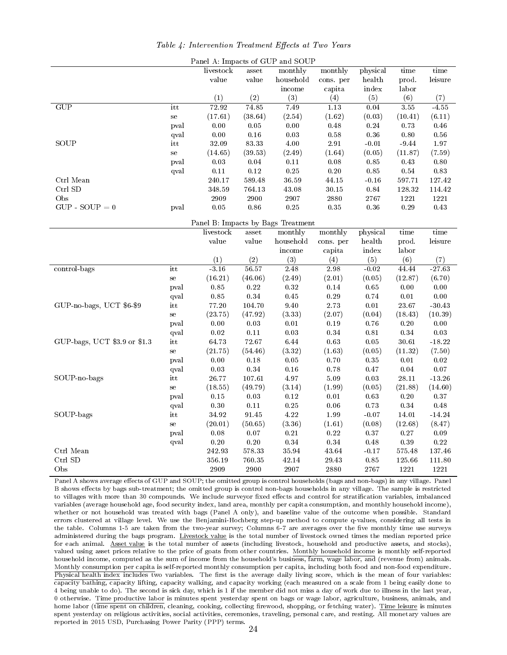|                              |                             | Panel A: Impacts of GUP and SOUP   |             |           |             |                |          |          |
|------------------------------|-----------------------------|------------------------------------|-------------|-----------|-------------|----------------|----------|----------|
|                              |                             | livestock                          | asset       | monthly   | monthly     | physical       | time     | time     |
|                              |                             | value                              | value       | household | cons. per   | health         | prod.    | leisure  |
|                              |                             |                                    |             | income    | capita      | $_{\rm index}$ | labor    |          |
|                              |                             | (1)                                | (2)         | (3)       | (4)         | (5)            | (6)      | (7)      |
| $\overline{\text{GUP}}$      | itt                         | 72.92                              | 74.85       | 7.49      | 1.13        | 0.04           | 3.55     | $-4.55$  |
|                              | se                          | (17.61)                            | (38.64)     | (2.54)    | (1.62)      | (0.03)         | (10.41)  | (6.11)   |
|                              | pval                        | $0.00\,$                           | 0.05        | 0.00      | 0.48        | $0.24\,$       | $0.73\,$ | 0.46     |
|                              | qval                        | $0.00\,$                           | $0.16\,$    | $0.03\,$  | $0.58\,$    | $0.36\,$       | $0.80\,$ | $0.56\,$ |
| SOUP                         | $\mathop{\textnormal{itt}}$ | 32.09                              | $8\,3.\,33$ | 4.00      | $2.91\,$    | $-0.01$        | $-9.44$  | 1.97     |
|                              | se                          | (14.65)                            | (39.53)     | (2.49)    | (1.64)      | (0.05)         | (11.87)  | (7.59)   |
|                              | pval                        | $0.03\,$                           | $0.04\,$    | $0.11\,$  | 0.08        | $0.85\,$       | 0.43     | $0.80\,$ |
|                              | qval                        | $0.11\,$                           | $0.12\,$    | 0.25      | $0.20\,$    | 0.85           | $0.54\,$ | 0.83     |
| Ctrl Mean                    |                             | 240.17                             | 589.48      | 36.59     | 44.15       | $-0.16$        | 597.71   | 127.42   |
| Ctrl SD                      |                             | 348.59                             | 764.13      | 43.08     | $30.15\,$   | $\rm 0.84$     | 128.32   | 114.42   |
| Obs                          |                             | 2909                               | 2900        | 2907      | $2\,8\,0$   | 2767           | 1221     | 1221     |
| $GUP - SOUP = 0$             | pval                        | 0.05                               | $0.86\,$    | $0.25\,$  | 0.35        | $0.36\,$       | 0.29     | 0.43     |
|                              |                             | Panel B: Impacts by Bags Treatment |             |           |             |                |          |          |
|                              |                             | livestock                          | asset       | monthly   | monthly     | physical       | time     | time     |
|                              |                             | value                              | value       | household | cons. per   | health         | prod.    | leisure  |
|                              |                             |                                    |             | income    | capita      | $_{\rm index}$ | labor    |          |
|                              |                             | (1)                                | (2)         | (3)       | (4)         | (5)            | (6)      | (7)      |
| control-bags                 | itt                         | $-3.16$                            | 56.57       | 2.48      | 2.98        | $-0.02$        | 44.44    | $-27.63$ |
|                              | se                          | (16.21)                            | (46.06)     | (2.49)    | (2.01)      | (0.05)         | (12.87)  | (6.70)   |
|                              | pval                        | 0.85                               | $0.22\,$    | $0.32\,$  | $0.14\,$    | $0.65\,$       | 0.00     | 0.00     |
|                              | qval                        | $\rm 0.85$                         | $0.34\,$    | $0.45\,$  | $0.29\,$    | 0.74           | $0.01\,$ | $0.00\,$ |
| GUP-no-bags, UCT \$6-\$9     | itt                         | 77.20                              | 104.70      | $9.40\,$  | 2.73        | $0.01\,$       | 23.67    | $-30.43$ |
|                              | se                          | (23.75)                            | (47.92)     | (3.33)    | (2.07)      | (0.04)         | (18.43)  | (10.39)  |
|                              | pval                        | 0.00                               | $0.03\,$    | $0.01\,$  | $0.19\,$    | 0.76           | 0.20     | 0.00     |
|                              | qval                        | 0.02                               | $0.11\,$    | 0.03      | $0.34\,$    | $0.81\,$       | 0.34     | $0.03\,$ |
| GUP-bags, UCT \$3.9 or \$1.3 | itt                         | 64.73                              | 72.67       | 6.44      | 0.63        | $0.05\,$       | 30.61    | $-18.22$ |
|                              | se                          | (21.75)                            | (54.46)     | (3.32)    | (1.63)      | (0.05)         | (11.32)  | (7.50)   |
|                              | pval                        | 0.00                               | 0.18        | $0.05\,$  | 0.70        | 0.35           | $0.01\,$ | $0.02\,$ |
|                              | qval                        | 0.03                               | $0.34\,$    | $0.16\,$  | 0.78        | $0.47\,$       | $0.04\,$ | $0.07\,$ |
| SOUP-no-bags                 | itt                         | 26.77                              | 107.61      | 4.97      | $5.09\,$    | 0.03           | 28.11    | $-13.26$ |
|                              | se                          | (18.55)                            | (49.79)     | (3.14)    | (1.99)      | (0.05)         | (21.88)  | (14.60)  |
|                              | pval                        | $0.15\,$                           | 0.03        | $0.12\,$  | $0.01\,$    | $0.63\,$       | $0.20\,$ | $0.37\,$ |
|                              | qval                        | 0.30                               | $0.11\,$    | $0.25\,$  | 0.06        | 0.73           | 0.34     | 0.48     |
| SOUP bags                    | itt                         | 34.92                              | 91.45       | 4.22      | 1.99        | $-0.07$        | 14.01    | $-14.24$ |
|                              | se                          | (20.01)                            | (50.65)     | (3.36)    | (1.61)      | (0.08)         | (12.68)  | (8.47)   |
|                              | pval                        | 0.08                               | $0.07\,$    | $0.21\,$  | 0.22        | $0.37\,$       | 0.27     | 0.09     |
|                              | qval                        | $0.20\,$                           | $0.20\,$    | $0.34\,$  | $0.34\,$    | 0.48           | 0.39     | $0.22\,$ |
| Ctrl Mean                    |                             | $2\,42.93$                         | 578.33      | 35.94     | $\bf 43.64$ | $-0.17$        | 575.48   | 137.46   |
| Ctrl SD                      |                             | 356.19                             | 760.35      | 42.14     | 29.43       | 0.85           | 125.66   | 111.80   |
| Obs                          |                             | 2909                               | 2900        | 2907      | 2880        | 2767           | 1221     | 1221     |

Table 4: Intervention Treatment Effects at Two Years

Panel A shows average effects of GUP and SOUP; the omitted group is control households (bags and non-bags) in any village. Panel B shows effects by bags sub-treatment; the omitted group is control non-bags households in any village. The sample is restricted to villages with more than 30 compounds. We include surveyor fixed effects and control for stratification variables, imbalanced variables (average household age, food security index, land area, monthly per capita consumption, and monthly household income), whether or not household was treated with bags (Panel A only), and baseline value of the outcome when possible. Standard errors clustered at village level. We use the Benjamini-Hochberg step-up method to compute q-values, considering all tests in the table. Columns 1-5 are taken from the two-year survey; Columns 6-7 are averages over the five monthly time use surveys administered during the bags program. Livestock value is the total number of livestock owned times the median reported price for each animal. Asset value is the total number of assets (including livestock, household and productive assets, and stocks), valued using asset prices relative to the price of goats from other countries. Monthly household income is monthly self-reported household income, computed as the sum of income from the household's business, farm, wage labor, and (revenue from) animals. Monthly consumption per capita is self-reported monthly consumption per capita, including both food and non-food expenditure. Physical health index includes two variables. The first is the average daily living score, which is the mean of four variables: capacity bathing, capacity lifting, capacity walking, and capacity working (each measured on a scale from 1 being easily done to 4 being unable to do). The second is sick day, which is 1 if the member did not miss a day of work due to illness in the last year, 0 otherwise. Time productive labor is minutes spent yesterday spent on bags or wage labor, agriculture, business, animals, and home labor (time spent on children, cleaning, cooking, collecting firewood, shopping, or fetching water). Time leisure is minutes spent yesterday on religious activities, social activities, ceremonies, traveling, personal care, and resting. All monetary values are reported in 2015 USD, Purchasing Power Parity (PPP) terms.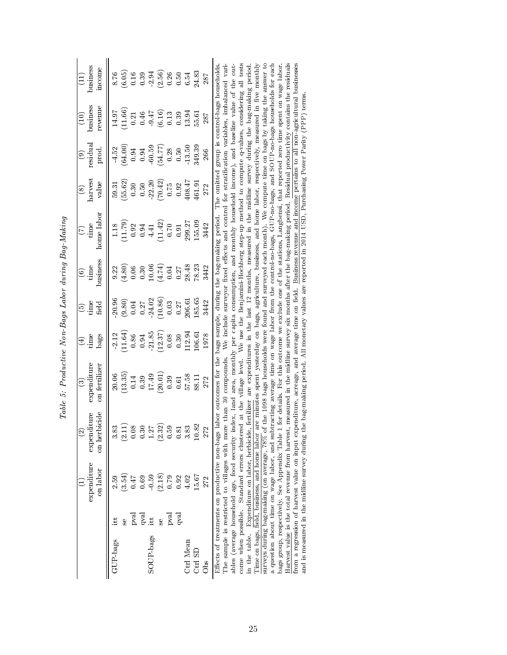|                                  |                                          | expenditure<br>on labor                                                                                                                                                                                                                                                                                      | on herbicide<br>expenditure<br>$\widehat{\infty}$                                                                                                                                                                                                                                                                                                                                                                                                                                                                                                                                                                                                                                                                                                                                                                                                                                                                                                                                                      | expenditure<br>on fertilizer<br>ි                                                                                                                                                                                                                                                                                                                                                                                                                                                                                               | bags<br>time<br>$\widehat{A}$                                   | time<br>feld<br>$\widehat{\mathbf{e}}$                              | business<br>time<br>$\circledcirc$ | home labor<br>time<br>E                                                                                                                                                                 | harvest<br>value<br>$\circledast$        | residual<br>prod.<br>ම           | business<br>revenue<br>$\widehat{\Xi}$ | business<br>mcome<br>$\left(11\right)$         |
|----------------------------------|------------------------------------------|--------------------------------------------------------------------------------------------------------------------------------------------------------------------------------------------------------------------------------------------------------------------------------------------------------------|--------------------------------------------------------------------------------------------------------------------------------------------------------------------------------------------------------------------------------------------------------------------------------------------------------------------------------------------------------------------------------------------------------------------------------------------------------------------------------------------------------------------------------------------------------------------------------------------------------------------------------------------------------------------------------------------------------------------------------------------------------------------------------------------------------------------------------------------------------------------------------------------------------------------------------------------------------------------------------------------------------|---------------------------------------------------------------------------------------------------------------------------------------------------------------------------------------------------------------------------------------------------------------------------------------------------------------------------------------------------------------------------------------------------------------------------------------------------------------------------------------------------------------------------------|-----------------------------------------------------------------|---------------------------------------------------------------------|------------------------------------|-----------------------------------------------------------------------------------------------------------------------------------------------------------------------------------------|------------------------------------------|----------------------------------|----------------------------------------|------------------------------------------------|
| <b>GUP</b> bags                  | $\mathbf{q}\mathbf{v}\mathbf{a}$<br>pval | (3.54)<br>0.69<br>2.59<br>0.47                                                                                                                                                                                                                                                                               | 3.83<br>(2.11)<br>0.08<br>0.30                                                                                                                                                                                                                                                                                                                                                                                                                                                                                                                                                                                                                                                                                                                                                                                                                                                                                                                                                                         | 13.35)<br>20.06<br>0.39<br>0.14                                                                                                                                                                                                                                                                                                                                                                                                                                                                                                 | 11.64<br>2.12<br>0.86<br>0.94                                   | <b>20.96</b><br>$_{0.04}^{(9.80)}$<br>$0.27\,$                      | (1.80)<br>0.06<br>0.30<br>9.22     | 11.79<br>0.92<br>1.18<br>0.94                                                                                                                                                           | (55.62)<br>$0.50\,$<br>59.31<br>$\,0.30$ | (64.00)<br>4.52<br>0.94<br>0.94  | 11.66<br>14.97<br>0.46<br>0.21         | (6.05)                                         |
| SOUP-bags                        | qval<br>ova<br>走                         | (2.18)<br>0.59<br>0.79<br>0.92                                                                                                                                                                                                                                                                               | 1.27<br>(2.32)<br>0.59<br>0.81                                                                                                                                                                                                                                                                                                                                                                                                                                                                                                                                                                                                                                                                                                                                                                                                                                                                                                                                                                         | (20.01)<br>17.49<br>0.39<br>0.61                                                                                                                                                                                                                                                                                                                                                                                                                                                                                                | 21.85<br>$\begin{array}{c} (12.37) \\ 0.08 \end{array}$<br>0.30 | $\begin{array}{c} (10.86) \\ 0.03 \end{array}$<br>24.02<br>$0.27\,$ | 10.06<br>$(4.74)$<br>0.04<br>0.27  | $(11.42)$<br>0.70<br>0.91<br>4.41                                                                                                                                                       | $(70.42)$<br>$(70.42)$<br>0.92           | 60.59<br>(54.77)<br>0.28<br>0.50 | $(6.16)$<br>$0.13$<br>$-9.47$<br>0.39  | $0.39$<br>$0.39$<br>$0.56$<br>$0.56$<br>$0.50$ |
| Ctrl Mean<br>$\rm Ct1~SL$<br>Obs |                                          | 15.67<br>4.02<br>272                                                                                                                                                                                                                                                                                         | 3.83<br>10.82<br>272                                                                                                                                                                                                                                                                                                                                                                                                                                                                                                                                                                                                                                                                                                                                                                                                                                                                                                                                                                                   | 57.58<br>88.11<br>272                                                                                                                                                                                                                                                                                                                                                                                                                                                                                                           | 12.94<br>06.61<br>1978                                          | 85.65<br>106.61<br>3442                                             | 28.48<br>78.23<br>3442             | 155.09<br>299.27<br>3442                                                                                                                                                                | 108.47<br>161.91<br>272                  | 349.39<br>13.50<br>266           | 13.94<br>55.61<br>287                  | 24.83<br>6.54<br>287                           |
|                                  |                                          | Effects of treatments on productive non-bags la<br>The sample is restricted to villages with more<br>come when possible. Standard errors clustered<br>lime on bags, field, business, and home labor ar<br>Harvest value is the total revenue from harvest,<br>bags group, respectively. See Appendix Table 1 | from a regression of harvest value on input expenditure, acreage, and average time on field. <u>Business revenue and income</u> pertains to all non-agricultural businesses<br>surveys during bag-making (on average, $78\%$ of the 1098 bags households were found and surveyed each month). We compute time on bags by taking the answer to<br>a question about time on wage labor, and subtracting average time on wage labor from the control-no-bags, GUP-no-bags, and SOUP-no-bags households for each<br>ables (average household age, food security index, land area, monthly per capita consumption, and monthly household income), and baseline value of the out-<br>in the table. Expenditure on labor, herbicide, fertilizer are expenditures in the last 12 months, measured in the midline survey during the bag-making period<br>and is measured in the midline survey during the bag-making period. All monetary values are reported in 2014 USD, Purchasing Power Parity (PPP) terms. | measured in the midline survey six months after the bag-making period. Residual productivity contains the residuals<br>abor outcomes for the bags sample, during the bag-making period. The omitted group is control-bags households<br>e minutes spent yesterday on bags, agriculture, business, and home labor, respectively, measured in five monthly<br>for details. For this outcome we exclude one of the stations, Langbensi, that reported zero time spent on wage labor<br>at the village level.<br>than 30 compounds. |                                                                 |                                                                     |                                    | We use the Benjamini-Hochberg step-up method to compute q-values, considering all tests<br>We include surveyor fixed effects and control for stratification variables, imbalanced vari- |                                          |                                  |                                        |                                                |

Table 5: Productive Non-Bags Labor during Bag-Making Table 5: Productive Non-Bags Labor during Bag-Making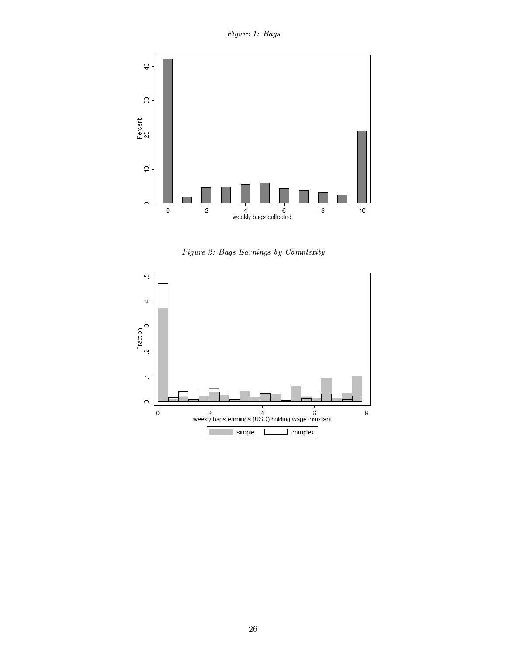Figure 1: Bags





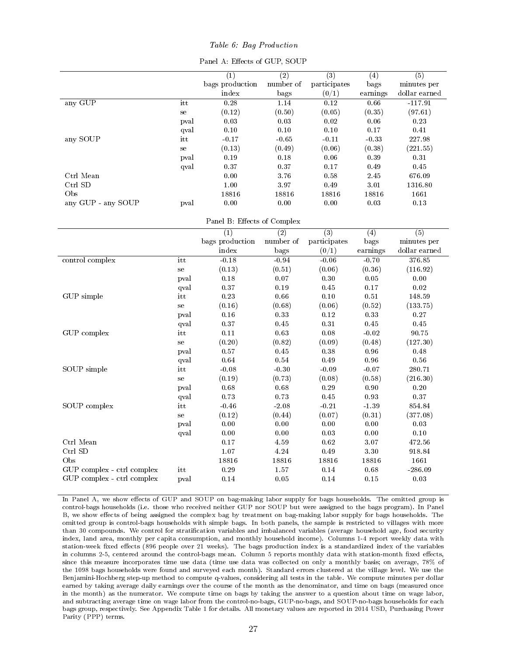#### Table 6: Bag Production

|  | Panel A: Effects of GUP, SOUP |  |  |
|--|-------------------------------|--|--|
|  |                               |  |  |

|                            |      | $\overline{(1)}$            | $\overline{(2)}$ | $\overline{(3)}$  | $\overline{(4)}$ | $\overline{(5)}$         |
|----------------------------|------|-----------------------------|------------------|-------------------|------------------|--------------------------|
|                            |      | bags production             | number of        | participates      | bags             | minutes per              |
|                            |      | $_{\rm index}$              | bags             | (0/1)             | earnings         | ${\rm dollar \; earned}$ |
| any GUP                    | it t | 0.28                        | 1.14             | $\overline{0.12}$ | 0.66             | $-117.91$                |
|                            | se   | (0.12)                      | (0.50)           | (0.05)            | (0.35)           | (97.61)                  |
|                            | pval | 0.03                        | 0.03             | $0.02\,$          | 0.06             | $0.23\,$                 |
|                            | qval | 0.10                        | 0.10             | 0.10              | $0.17\,$         | 0.41                     |
| any SOUP                   | it t | $-0.17$                     | $-0.65$          | $-0.11$           | $-0.33$          | 227.98                   |
|                            | se   | (0.13)                      | (0.49)           | (0.06)            | (0.38)           | (221.55)                 |
|                            | pval | $0.19\,$                    | 0.18             | 0.06              | 0.39             | 0.31                     |
|                            | qval | 0.37                        | 0.37             | 0.17              | 0.49             | $0.45\,$                 |
| Ctrl Mean                  |      | 0.00                        | 3.76             | $0.58\,$          | $2.45\,$         | 676.09                   |
| Ctrl SD                    |      | $1.00\,$                    | 3.97             | 0.49              | $3.01\,$         | 1316.80                  |
| Obs                        |      | 18816                       | 18816            | 18816             | 18816            | 1661                     |
| any GUP - any SOUP         | pval | $0.00\,$                    | 0.00             | $0.00\,$          | 0.03             | 0.13                     |
|                            |      |                             |                  |                   |                  |                          |
|                            |      | Panel B: Effects of Complex |                  |                   |                  |                          |
|                            |      | $\overline{(1)}$            | $\overline{(2)}$ | $\overline{(3)}$  | (4)              | $\overline{(5)}$         |
|                            |      | bags production             | number of        | participates      | bags             | minutes per              |
|                            |      | index                       | bags             | (0/1)             | earnings         | dollar earned            |
| control complex            | itt  | $-0.18$                     | $-0.94$          | $-0.06$           | $-0.70$          | 376.85                   |
|                            | se   | (0.13)                      | (0.51)           | (0.06)            | (0.36)           | (116.92)                 |
|                            | pval | $0.18\,$                    | $0.07\,$         | $0.30\,$          | $0.05\,$         | $\rm 0.00$               |
|                            | qval | 0.37                        | 0.19             | 0.45              | 0.17             | $0.02\,$                 |
| GUP simple                 | itt  | 0.23                        | 0.66             | 0.10              | 0.51             | 148.59                   |
|                            | se   | (0.16)                      | (0.68)           | (0.06)            | (0.52)           | (133.75)                 |
|                            | pval | 0.16                        | $\rm 0.33$       | 0.12              | 0.33             | $0.27\,$                 |
|                            | qval | 0.37                        | 0.45             | 0.31              | 0.45             | 0.45                     |
| GUP complex                | itt  | $0.11\,$                    | 0.63             | 0.08              | $-0.02$          | 90.75                    |
|                            | se   | (0.20)                      | (0.82)           | (0.09)            | (0.48)           | (127.30)                 |
|                            | pval | $0.57\,$                    | $0.45\,$         | $0.38\,$          | 0.96             | 0.48                     |
|                            | qval | 0.64                        | 0.54             | 0.49              | 0.96             | 0.56                     |
| SOUP simple                | itt  | $-0.08$                     | $-0.30$          | $-0.09$           | $-0.07$          | 280.71                   |
|                            | se   | (0.19)                      | (0.73)           | (0.08)            | (0.58)           | (216.30)                 |
|                            | pval | 0.68                        | 0.68             | $0.29\,$          | 0.90             | $0.20\,$                 |
|                            | qval | 0.73                        | 0.73             | 0.45              | 0.93             | 0.37                     |
| SOUP complex               | itt  | $-0.46$                     | $-2.08$          | $-0.21$           | $-1.39$          | 854.84                   |
|                            | se   | (0.12)                      | (0.44)           | (0.07)            | (0.31)           | (377.08)                 |
|                            | pval | $0.00\,$                    | 0.00             | 0.00              | 0.00             | $0.03\,$                 |
|                            | qval | $0.00\,$                    | 0.00             | $0.03\,$          | 0.00             | $0.10\,$                 |
| Ctrl Mean                  |      | 0.17                        | 4.59             | 0.62              | $3.07\,$         | 472.56                   |
| Ctrl SD                    |      | $1.07\,$                    | 4.24             | 0.49              | $3.30\,$         | 918.84                   |
| Obs                        |      | 18816                       | 18816            | 18816             | 18816            | 1661                     |
| GUP complex - ctrl complex | itt  | 0.29                        | 1.57             | 0.14              | 0.68             | $-286.09$                |
| GUP complex - ctrl complex | pval | 0.14                        | $\rm 0.05$       | 0.14              | $0.15\,$         | $0.03\,$                 |

In Panel A, we show effects of GUP and SOUP on bag-making labor supply for bags households. The omitted group is control-bags households (i.e. those who received neither GUP nor SOUP but were assigned to the bags program). In Panel B, we show effects of being assigned the complex bag by treatment on bag-making labor supply for bags households. The omitted group is control-bags households with simple bags. In both panels, the sample is restricted to villages with more than 30 compounds. We control for stratification variables and imbalanced variables (average household age, food security index, land area, monthly per capita consumption, and monthly household income). Columns 1-4 report weekly data with station-week fixed effects (896 people over 21 weeks). The bags production index is a standardized index of the variables in columns 2-5, centered around the control-bags mean. Column 5 reports monthly data with station-month fixed effects, since this measure incorporates time use data (time use data was collected on only a monthly basis; on average, 78% of the 1098 bags households were found and surveyed each month). Standard errors clustered at the village level. We use the Benjamini-Hochberg step-up method to compute q-values, considering all tests in the table. We compute minutes per dollar earned by taking average daily earnings over the course of the month as the denominator, and time on bags (measured once in the month) as the numerator. We compute time on bags by taking the answer to a question about time on wage labor, and subtracting average time on wage labor from the control-no-bags, GUP-no-bags, and SOUP-no-bags households for each bags group, respectively. See Appendix Table 1 for details. All monetary values are reported in 2014 USD, Purchasing Power Parity (PPP) terms.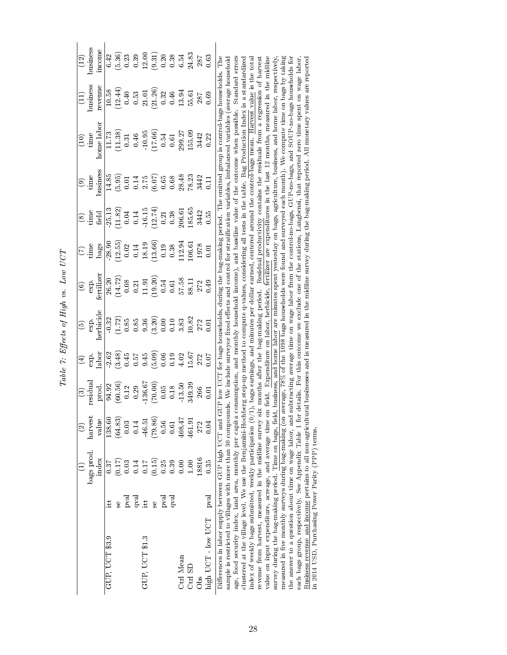|                                                                                                                                                                                                                                                                                                                                                                                                                                                                                                                                                                                                                                                                                                                                                                                                                                                                                                                                                                                                                                                                                                                                                                                                                                                                                                                                                                                                                                                                                                                                                                                                                                           |            |            | $\widehat{\infty}$ | ව                                                    | $\bigoplus$    | $\widehat{\mathbf{e}}$                        | $\widehat{\circ}$                                                |                                                       | ⊗                               | $\widehat{\mathbf{e}}$       |                                                                                                                                                                                                                                                                                                                                                                                                                                                                                                                                                                 |                         | $\left(12\right)$                                          |
|-------------------------------------------------------------------------------------------------------------------------------------------------------------------------------------------------------------------------------------------------------------------------------------------------------------------------------------------------------------------------------------------------------------------------------------------------------------------------------------------------------------------------------------------------------------------------------------------------------------------------------------------------------------------------------------------------------------------------------------------------------------------------------------------------------------------------------------------------------------------------------------------------------------------------------------------------------------------------------------------------------------------------------------------------------------------------------------------------------------------------------------------------------------------------------------------------------------------------------------------------------------------------------------------------------------------------------------------------------------------------------------------------------------------------------------------------------------------------------------------------------------------------------------------------------------------------------------------------------------------------------------------|------------|------------|--------------------|------------------------------------------------------|----------------|-----------------------------------------------|------------------------------------------------------------------|-------------------------------------------------------|---------------------------------|------------------------------|-----------------------------------------------------------------------------------------------------------------------------------------------------------------------------------------------------------------------------------------------------------------------------------------------------------------------------------------------------------------------------------------------------------------------------------------------------------------------------------------------------------------------------------------------------------------|-------------------------|------------------------------------------------------------|
|                                                                                                                                                                                                                                                                                                                                                                                                                                                                                                                                                                                                                                                                                                                                                                                                                                                                                                                                                                                                                                                                                                                                                                                                                                                                                                                                                                                                                                                                                                                                                                                                                                           |            | bags prod. | harvest            | residual                                             | exp.           | exp.                                          | exp.                                                             | inne                                                  | time<br>U                       | time                         | time                                                                                                                                                                                                                                                                                                                                                                                                                                                                                                                                                            | ousiness                | business                                                   |
|                                                                                                                                                                                                                                                                                                                                                                                                                                                                                                                                                                                                                                                                                                                                                                                                                                                                                                                                                                                                                                                                                                                                                                                                                                                                                                                                                                                                                                                                                                                                                                                                                                           |            | mdex       | value              | prod.                                                | labor          | herbicide                                     | fertilizer                                                       | bags                                                  | field                           | business                     | $\operatorname{home}\operatorname{labor}$                                                                                                                                                                                                                                                                                                                                                                                                                                                                                                                       | revenue                 | ncome                                                      |
| GUP, UCT \$3.9                                                                                                                                                                                                                                                                                                                                                                                                                                                                                                                                                                                                                                                                                                                                                                                                                                                                                                                                                                                                                                                                                                                                                                                                                                                                                                                                                                                                                                                                                                                                                                                                                            |            | 0.37       | 138.60             | 94.92                                                | 2.62           | 0.32                                          |                                                                  | 28.90                                                 | 25.13                           | 14.85                        | 11.73                                                                                                                                                                                                                                                                                                                                                                                                                                                                                                                                                           |                         | 6.42                                                       |
|                                                                                                                                                                                                                                                                                                                                                                                                                                                                                                                                                                                                                                                                                                                                                                                                                                                                                                                                                                                                                                                                                                                                                                                                                                                                                                                                                                                                                                                                                                                                                                                                                                           | Se         | (0.17)     | (64.83)            | (60.56)                                              | (3.48)         |                                               | $26.20$<br>$(14.72)$<br>$0.08$<br>$0.21$<br>$11.91$<br>$(19.20)$ | $\begin{array}{c} (12.55) \ 0.02 \ 0.14 \end{array}$  | (11.82)                         | (5.95)                       | (11.38)                                                                                                                                                                                                                                                                                                                                                                                                                                                                                                                                                         | $\frac{10.58}{12.44}$   | (5.36)                                                     |
|                                                                                                                                                                                                                                                                                                                                                                                                                                                                                                                                                                                                                                                                                                                                                                                                                                                                                                                                                                                                                                                                                                                                                                                                                                                                                                                                                                                                                                                                                                                                                                                                                                           | pral       | 0.03       | 0.03               |                                                      | 0.45           | $\begin{array}{c} (1.72) \\ 0.85 \end{array}$ |                                                                  |                                                       | $0.04\,$                        | $0.01\,$                     | $\rm 0.31$                                                                                                                                                                                                                                                                                                                                                                                                                                                                                                                                                      | $0.40\,$                | 0.23                                                       |
|                                                                                                                                                                                                                                                                                                                                                                                                                                                                                                                                                                                                                                                                                                                                                                                                                                                                                                                                                                                                                                                                                                                                                                                                                                                                                                                                                                                                                                                                                                                                                                                                                                           | $ext{rel}$ | 0.14       | 0.14               | $\frac{0.12}{0.29}$<br>136.67                        | $0.57$<br>9.45 | 0.85                                          |                                                                  |                                                       |                                 |                              |                                                                                                                                                                                                                                                                                                                                                                                                                                                                                                                                                                 | $\!0.53\!$              |                                                            |
| GUP, UCT \$1.3                                                                                                                                                                                                                                                                                                                                                                                                                                                                                                                                                                                                                                                                                                                                                                                                                                                                                                                                                                                                                                                                                                                                                                                                                                                                                                                                                                                                                                                                                                                                                                                                                            |            | $0.17\,$   | 46.51              |                                                      |                |                                               |                                                                  |                                                       |                                 |                              |                                                                                                                                                                                                                                                                                                                                                                                                                                                                                                                                                                 |                         |                                                            |
|                                                                                                                                                                                                                                                                                                                                                                                                                                                                                                                                                                                                                                                                                                                                                                                                                                                                                                                                                                                                                                                                                                                                                                                                                                                                                                                                                                                                                                                                                                                                                                                                                                           | se<br>S    | (0.15)     | (79.86)            | [70.00]                                              | (60.5)         | $\frac{9.36}{(3.20)}$                         |                                                                  | $\frac{18.19}{13.66}$                                 | $\frac{0.14}{16.15}$<br>(12.74) | $0.14$<br>$2.75$<br>$(6.07)$ | $\frac{0.46}{10.95}$<br>(17.66)                                                                                                                                                                                                                                                                                                                                                                                                                                                                                                                                 | $\frac{21.01}{(21.26)}$ | $\begin{array}{c} 0.39 \\ 12.9 \ 0.20 \\ 0.20 \end{array}$ |
|                                                                                                                                                                                                                                                                                                                                                                                                                                                                                                                                                                                                                                                                                                                                                                                                                                                                                                                                                                                                                                                                                                                                                                                                                                                                                                                                                                                                                                                                                                                                                                                                                                           | pval       | 0.25       | 0.56               |                                                      | 0.06           | 0.00                                          | 0.54                                                             | 0.19                                                  | 0.21                            | $0.65\,$                     | $0.54\,$                                                                                                                                                                                                                                                                                                                                                                                                                                                                                                                                                        | 0.32                    |                                                            |
|                                                                                                                                                                                                                                                                                                                                                                                                                                                                                                                                                                                                                                                                                                                                                                                                                                                                                                                                                                                                                                                                                                                                                                                                                                                                                                                                                                                                                                                                                                                                                                                                                                           | n<br>R     | 0.39       | 0.61               |                                                      | $0.19$<br>4.02 |                                               | 0.61                                                             |                                                       | 0.38                            |                              | $\!0.61$                                                                                                                                                                                                                                                                                                                                                                                                                                                                                                                                                        | 0.46                    | $0.38$<br>$6.54$                                           |
| Ctrl Mean                                                                                                                                                                                                                                                                                                                                                                                                                                                                                                                                                                                                                                                                                                                                                                                                                                                                                                                                                                                                                                                                                                                                                                                                                                                                                                                                                                                                                                                                                                                                                                                                                                 |            | 0.00       | 408.47             | $\begin{array}{c} 0.05 \\ 0.18 \\ 13.50 \end{array}$ |                | $\begin{array}{c} 0.10 \\ 3.83 \end{array}$   | 57.58                                                            | $\begin{array}{c} 0.38 \\ 12.94 \\ 06.61 \end{array}$ | 206.61                          |                              | 299.27                                                                                                                                                                                                                                                                                                                                                                                                                                                                                                                                                          | 13.94                   |                                                            |
| Ctrl SD                                                                                                                                                                                                                                                                                                                                                                                                                                                                                                                                                                                                                                                                                                                                                                                                                                                                                                                                                                                                                                                                                                                                                                                                                                                                                                                                                                                                                                                                                                                                                                                                                                   |            | 001        | 461.91             | 349.39                                               | 5.67           | 10.82                                         | 88.11                                                            |                                                       | 85.65                           | $\frac{0.68}{28.48}$         | 55.09                                                                                                                                                                                                                                                                                                                                                                                                                                                                                                                                                           | 55.61                   | 24.83                                                      |
| $rac{8}{5}$                                                                                                                                                                                                                                                                                                                                                                                                                                                                                                                                                                                                                                                                                                                                                                                                                                                                                                                                                                                                                                                                                                                                                                                                                                                                                                                                                                                                                                                                                                                                                                                                                               |            | 18816      | 272                | 266                                                  | 272            | 272                                           | 272                                                              | 1978                                                  | 3442                            | 3442                         | 3442                                                                                                                                                                                                                                                                                                                                                                                                                                                                                                                                                            | 287                     | 287                                                        |
| high UCT - low UCT                                                                                                                                                                                                                                                                                                                                                                                                                                                                                                                                                                                                                                                                                                                                                                                                                                                                                                                                                                                                                                                                                                                                                                                                                                                                                                                                                                                                                                                                                                                                                                                                                        | pval       | 0.35       | 0.04               | 5<br>0.0                                             | 0.07           | 5<br>0.0                                      | 0.49                                                             | 5<br>0.0                                              | 0.55                            | $\Xi$                        | 0.22                                                                                                                                                                                                                                                                                                                                                                                                                                                                                                                                                            | 0.69                    | 0.63                                                       |
| Differences in labor supply between GUP high UCT and GUP low UCT for bags households, during the bag-making period. The omitted group is control-bags households. The<br>measured in five monthly surveys during bag-making (on average, 78% of the 1098 bags households were found and surveyed each month). We compute time on bags by taking<br>Business revenue and income pertains to all non-agricultural businesses and is measured in the midline survey during the bag-making period. All monetary values are reported<br>sample is restricted to villages with more than 30 compounds. We include surveyor fixed effects and control for stratification variables, imbalanced variables (average household<br>clustered at the village level. We use the Benjamini-Hochberg step-up method to compute q-values, considering all tests in the table. Bag Production Index is a standardized<br>the answer to a question about time on wage labor, and subtracting average time on wage labor from the control-no-bags, GUP-no-bags, and SOUP-no-bags households for<br>age, food security index, land area, monthly per capita consumption, and monthly household income), and baseline value of the outcome when possible.<br>revenue from harvest, measured in the midline survey six months after the bag-making period.<br>index of weekly bags submitted, weekly participation (0/1<br>value on input expenditure, acreage, and average time on<br>survey during the bag-making period. Time on bags, field,<br>each bags group, respectively. See Appendix Table 1 for<br>in 2014 USD, Purchasing Power Parity (PPP) terms |            |            |                    |                                                      |                |                                               |                                                                  |                                                       |                                 |                              | field. Expenditure on labor, herbicide, fertilizer are expenditures in the last 12 months, measured in the midline<br>), bags earnings, and minutes per dollar earned, centered around the control-bags mean. Harvest value is the total<br>business, and home labor are minutes spent yesterday on bags, agriculture, business, and home labor, respectively,<br>Residual productivity contains the residuals from a regression of harvest<br>letails. For this outcome we exclude one of the stations, Langbensi, that reported zero time spent on wage labor | Standard errors         |                                                            |

Table 7: Effects of High vs. Low UCT Table 7: Effects of High vs. Low  $\it UCT$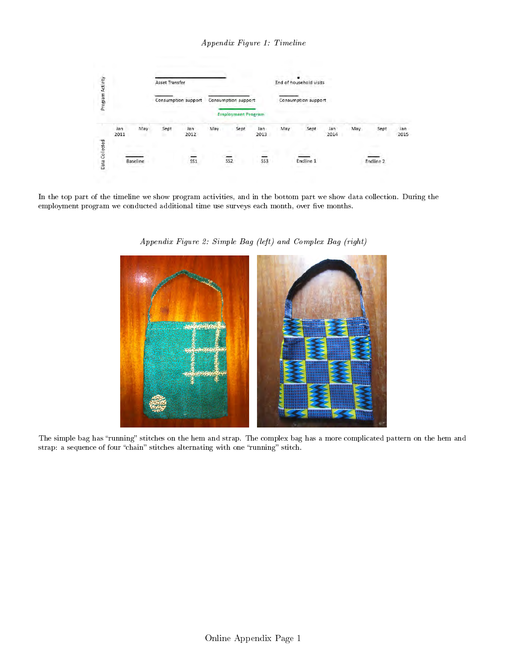Appendix Figure 1: Timeline



In the top part of the timeline we show program activities, and in the bottom part we show data collection. During the employment program we conducted additional time use surveys each month, over five months.



Appendix Figure 2: Simple Bag (left) and Complex Bag (right)

The simple bag has "running" stitches on the hem and strap. The complex bag has a more complicated pattern on the hem and strap: a sequence of four "chain" stitches alternating with one "running" stitch.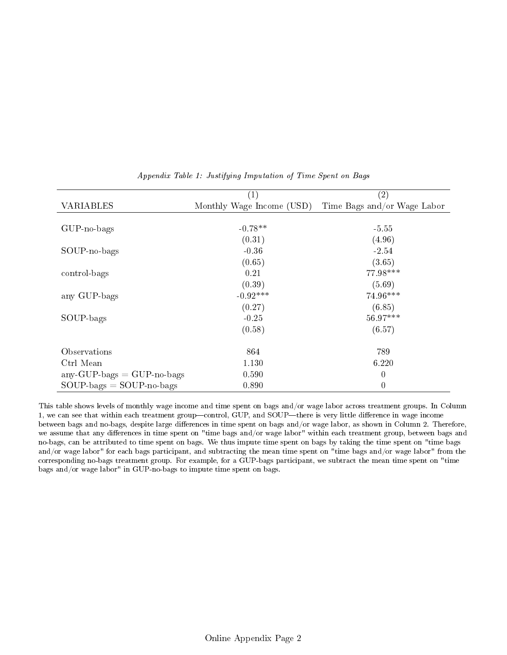|                               | $\mathbf{1}$              | (2)                         |
|-------------------------------|---------------------------|-----------------------------|
| <b>VARIABLES</b>              | Monthly Wage Income (USD) | Time Bags and/or Wage Labor |
|                               |                           |                             |
| $GUP$ -no-bags                | $-0.78**$                 | $-5.55$                     |
|                               | (0.31)                    | (4.96)                      |
| SOUP-no-bags                  | $-0.36$                   | $-2.54$                     |
|                               | (0.65)                    | (3.65)                      |
| control-bags                  | 0.21                      | 77.98***                    |
|                               | (0.39)                    | (5.69)                      |
| any GUP-bags                  | $-0.92***$                | 74.96***                    |
|                               | (0.27)                    | (6.85)                      |
| SOUP-bags                     | $-0.25$                   | $56.97***$                  |
|                               | (0.58)                    | (6.57)                      |
| Observations                  | 864                       | 789                         |
| Ctrl Mean                     | 1.130                     | 6.220                       |
| $any$ -GUP-bags = GUP-no-bags | 0.590                     | $\overline{0}$              |
| $SOUP-bags = SOUP-no-bags$    | 0.890                     | $\overline{0}$              |

Appendix Table 1: Justifying Imputation of Time Spent on Bags

This table shows levels of monthly wage income and time spent on bags and/or wage labor across treatment groups. In Column 1, we can see that within each treatment group-control, GUP, and SOUP-there is very little difference in wage income between bags and no-bags, despite large differences in time spent on bags and/or wage labor, as shown in Column 2. Therefore, we assume that any differences in time spent on "time bags and/or wage labor" within each treatment group, between bags and no-bags, can be attributed to time spent on bags. We thus impute time spent on bags by taking the time spent on "time bags and/or wage labor" for each bags participant, and subtracting the mean time spent on "time bags and/or wage labor" from the corresponding no-bags treatment group. For example, for a GUP-bags participant, we subtract the mean time spent on "time bags and/or wage labor" in GUP-no-bags to impute time spent on bags.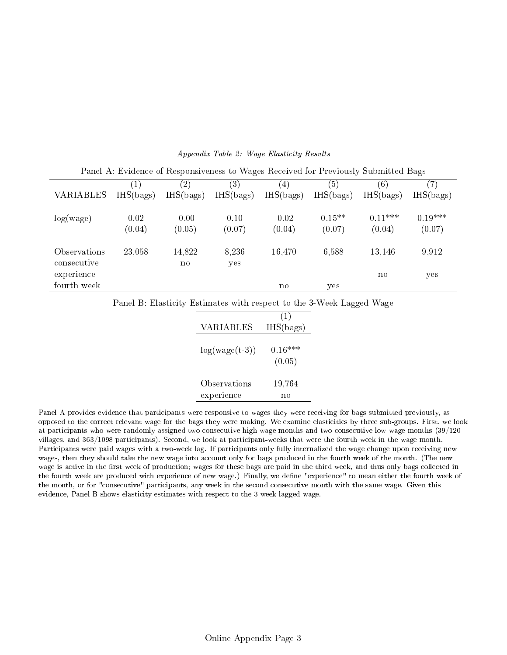|                             | (1)            | $\left( 2\right)$      | $\left( 3\right)$ | 4                 | (5)                | (6)                  | (7)                 |
|-----------------------------|----------------|------------------------|-------------------|-------------------|--------------------|----------------------|---------------------|
| VARIABLES                   | IHS(bags)      | IHS(bags)              | IHS(bags)         | IHS(bags)         | IHS(bags)          | IHS(bags)            | IHS(bags)           |
| log(wage)                   | 0.02<br>(0.04) | $-0.00$<br>(0.05)      | 0.10<br>(0.07)    | $-0.02$<br>(0.04) | $0.15**$<br>(0.07) | $-0.11***$<br>(0.04) | $0.19***$<br>(0.07) |
| Observations<br>consecutive | 23,058         | 14,822<br>$\mathbf{n}$ | 8,236<br>yes      | 16,470            | 6,588              | 13,146               | 9,912               |
| experience<br>fourth week   |                |                        |                   | no                | yes                | $\mathbf{n}$         | yes                 |

#### Appendix Table 2: Wage Elasticity Results

Panel A: Evidence of Responsiveness to Wages Received for Previously Submitted Bags

Panel B: Elasticity Estimates with respect to the 3-Week Lagged Wage

|                  | (1)       |
|------------------|-----------|
| VARIABLES        | IHS(bags) |
|                  |           |
| $log(wage(t-3))$ | $0.16***$ |
|                  | (0.05)    |
| Observations     | 19,764    |
| experience       | no        |

Panel A provides evidence that participants were responsive to wages they were receiving for bags submitted previously, as opposed to the correct relevant wage for the bags they were making. We examine elasticities by three sub-groups. First, we look at participants who were randomly assigned two consecutive high wage months and two consecutive low wage months (39/120 villages, and 363/1098 participants). Second, we look at participant-weeks that were the fourth week in the wage month. Participants were paid wages with a two-week lag. If participants only fully internalized the wage change upon receiving new wages, then they should take the new wage into account only for bags produced in the fourth week of the month. (The new wage is active in the first week of production; wages for these bags are paid in the third week, and thus only bags collected in the fourth week are produced with experience of new wage.) Finally, we define "experience" to mean either the fourth week of the month, or for "consecutive" participants, any week in the second consecutive month with the same wage. Given this evidence, Panel B shows elasticity estimates with respect to the 3-week lagged wage.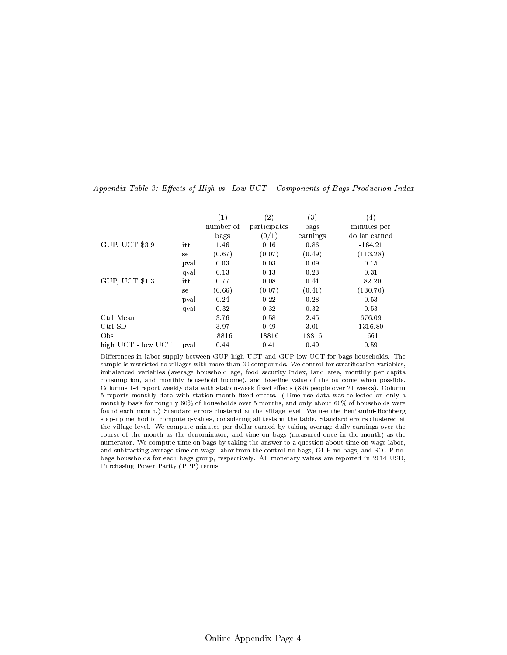|                    |      | $\left( 1\right)$ | $\left( 2\right)$ | $\left( 3\right)$ | $\left(4\right)$ |
|--------------------|------|-------------------|-------------------|-------------------|------------------|
|                    |      | number of         | participates      | bags              | minutes per      |
|                    |      | bags              | (0/1)             | earnings          | dollar earned    |
| GUP, UCT \$3.9     | itt  | 1.46              | 0.16              | 0.86              | $-164.21$        |
|                    | se   | (0.67)            | (0.07)            | (0.49)            | (113.28)         |
|                    | pval | 0.03              | 0.03              | 0.09              | 0.15             |
|                    | qval | 0.13              | 0.13              | 0.23              | 0.31             |
| GUP, UCT \$1.3     | itt  | 0.77              | 0.08              | 0.44              | $-82.20$         |
|                    | se   | (0.66)            | (0.07)            | (0.41)            | (130.70)         |
|                    | pval | 0.24              | 0.22              | 0.28              | 0.53             |
|                    | qval | 0.32              | 0.32              | 0.32              | 0.53             |
| Ctrl Mean          |      | 3.76              | 0.58              | 2.45              | 676.09           |
| Ctrl SD            |      | 3.97              | 0.49              | 3.01              | 1316.80          |
| Obs                |      | 18816             | 18816             | 18816             | 1661             |
| high UCT - low UCT | pval | 0.44              | 0.41              | 0.49              | 0.59             |

Appendix Table 3: Effects of High vs. Low  $UCT$  - Components of Bags Production Index

Differences in labor supply between GUP high UCT and GUP low UCT for bags households. The sample is restricted to villages with more than 30 compounds. We control for stratification variables, imbalanced variables (average household age, food security index, land area, monthly per capita consumption, and monthly household income), and baseline value of the outcome when possible. Columns 1-4 report weekly data with station-week fixed effects (896 people over 21 weeks). Column 5 reports monthly data with station-month fixed effects. (Time use data was collected on only a monthly basis for roughly 60% of households over 5 months, and only about 60% of households were found each month.) Standard errors clustered at the village level. We use the Benjamini-Hochberg step-up method to compute q-values, considering all tests in the table. Standard errors clustered at the village level. We compute minutes per dollar earned by taking average daily earnings over the course of the month as the denominator, and time on bags (measured once in the month) as the numerator. We compute time on bags by taking the answer to a question about time on wage labor, and subtracting average time on wage labor from the control-no-bags, GUP-no-bags, and SOUP-nobags households for each bags group, respectively. All monetary values are reported in 2014 USD, Purchasing Power Parity (PPP) terms.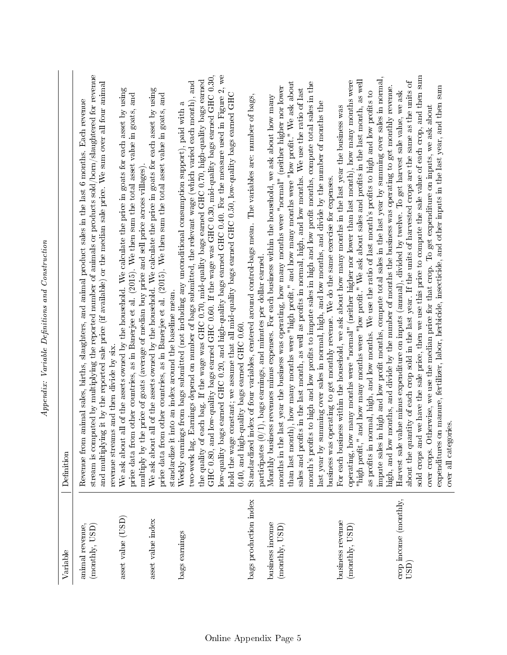| $\sim$<br>e<br>Control<br>ζ |
|-----------------------------|
| ミミ<br>ה<br>המ               |
| - 22<br>ſ                   |
| ۔<br>وو                     |
|                             |

| Variable                                          | Definition                                                                                                                                                                                                                                                                                                                                                                                                                                                                                                                                                                                                                                                                                                                                                                                                                                                  |
|---------------------------------------------------|-------------------------------------------------------------------------------------------------------------------------------------------------------------------------------------------------------------------------------------------------------------------------------------------------------------------------------------------------------------------------------------------------------------------------------------------------------------------------------------------------------------------------------------------------------------------------------------------------------------------------------------------------------------------------------------------------------------------------------------------------------------------------------------------------------------------------------------------------------------|
| animal revenue,<br>$(\text{month}, \text{USD})$   | stream is computed by multiplying the reported number of animals or products sold/bom/slaughtered for revenue<br>and multiplying it by the reported sale price (if available) or the median sale price. We sum over all four animal<br>animal sales, births, slaughters, and animal product sales in the last 6 months. Each revenue<br>Revenue from                                                                                                                                                                                                                                                                                                                                                                                                                                                                                                        |
| asset value (USD)                                 | We ask about all of the assets owned by the household. We calculate the price in goats for each asset by using<br>price data from other countries, as in Banerjee et al. (2015). We then sum the total asset value in goats, and<br>revenue streams and then divide by six.                                                                                                                                                                                                                                                                                                                                                                                                                                                                                                                                                                                 |
| asset value index                                 | all of the assets owned by the household. We calculate the price in goats for each asset by using<br>price data from other countries, as in Banerjee et al. (2015). We then sum the total asset value in goats, and<br>multiply by the price of goats (average of median buy price and sell price across villages).<br>We ask about                                                                                                                                                                                                                                                                                                                                                                                                                                                                                                                         |
| bags earnings                                     | two-week lag. Earnings depend on number of bags submitted, the relevant wage (which varied each month), and<br>Weekly earnings from bags submitted (not including any unconditional consumption support), paid with a<br>standardize it into an index around the baseline mean.                                                                                                                                                                                                                                                                                                                                                                                                                                                                                                                                                                             |
|                                                   | d low-quality bags earned GHC 0.60. If the wage was GHC 0.30, mid-quality bags earned GHC 0.30,<br>low-quality bags earned GHC 0.20, and high-quality bags earned GHC 0.40. For the measure used in Figure 2, we<br>each bag. If the wage was GHC 0.70, mid-quality bags earned GHC 0.70, high-quality bags earned<br>hold the wage constant; we assume that all mid-quality bags earned GHC 0.50, low-quality bags earned GHC<br>the quality of<br>GHC 0.80, an                                                                                                                                                                                                                                                                                                                                                                                            |
| bags production index                             | index of four variables, centered around control-bags mean. The variables are: number of bags,<br>participates (0/1), bags earnings, and minutes per dollar earned.<br>0.40, and high-quality bags earned GHC $0.60$ .<br>Standardized                                                                                                                                                                                                                                                                                                                                                                                                                                                                                                                                                                                                                      |
| business income<br>$(\text{month}y, \text{USD})$  | than last month), how many months were "high profit," and how many months were "low profit." We ask about<br>months in the last year the business was operating, how many months were "normal" (neither higher nor lower<br>sales and profits in the last month, as well as profits in normal, high, and low months. We use the ratio of last<br>Monthly business revenues minus expenses. For each business within the household, we ask about how many                                                                                                                                                                                                                                                                                                                                                                                                    |
| business revenue<br>$(\text{month}y, \text{USD})$ | and how many months were "low profit." We ask about sales and profits in the last month, as well<br>operating, how many months were "normal" (neither higher nor lower than last month), how many months were<br>month's profits to high and low profits to impute sales in high and low profit months, compute total sales in the<br>as profits in normal, high, and low months. We use the ratio of last month's profits to high and low profits to<br>last year by summing over sales in normal, high, and low months, and divide by the number of months the<br>For each business within the household, we ask about how many months in the last year the business was<br>business was operating to get monthly revenue. We do the same exercise for expenses.<br>"high profit,"                                                                        |
| crop income (monthly,<br>USD                      | sold crops and we have the sale price, then we use this price to compute the sale value of each crop, and then sum<br>impute sales in high and low profit months, compute total sales in the last year by summing over sales in normal,<br>about the quantity of each crop sold in the last year. If the units of harvested crops are the same as the units of<br>high, and low months, and divide by the number of months the business was operating to get monthly revenue.<br>on manure, fertilizer, labor, herbicide, insecticide, and other inputs in the last year, and then sum<br>Harvest sale value minus expenditure on inputs (annual), divided by twelve. To get harvest sale value, we ask<br>over crops. Otherwise, we use the median price for that crop. To get expenditure on inputs, we ask about<br>over all categories.<br>expenditures |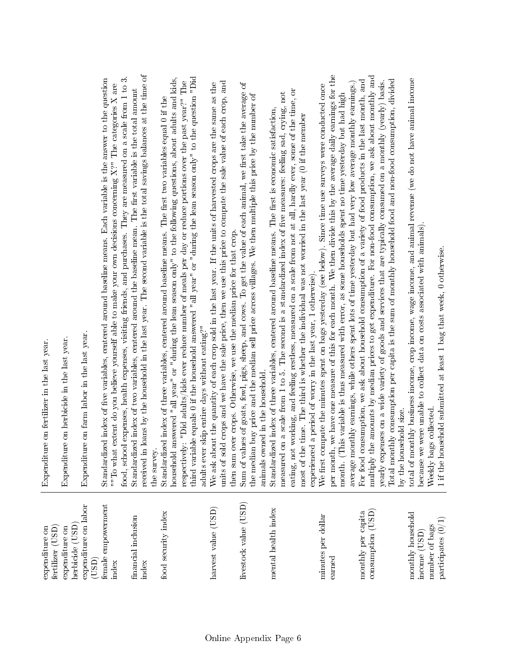| expenditure on<br>fertilizer (USD)                   | Expenditure on fertilizer in the last year.                                                                                                                                                                                                                                                                                                                                                                                                                                                                                     |
|------------------------------------------------------|---------------------------------------------------------------------------------------------------------------------------------------------------------------------------------------------------------------------------------------------------------------------------------------------------------------------------------------------------------------------------------------------------------------------------------------------------------------------------------------------------------------------------------|
| herbicide (USD)<br>expenditure on                    | Expenditure on herbicide in the last year.                                                                                                                                                                                                                                                                                                                                                                                                                                                                                      |
| expenditure on labor<br>(USD)                        | Expenditure on farm labor in the last year                                                                                                                                                                                                                                                                                                                                                                                                                                                                                      |
| female empowerment<br>index                          | food, school expenses, health expenses, visiting friends, and purchases. They are measured on a scale from 1 to 3.<br>Standardized index of five variables, centered around baseline means. Each variable is the answer to the question<br>""To what extent do you believe yourself able to make your own decisions concerning $X$ ?" The categories X are                                                                                                                                                                      |
| financial inclusion<br>index                         | received in loans by the household in the last year. The second variable is the total savings balances at the time of<br>Standardized index of two variables, centered around the baseline mean. The first variable is the total amount                                                                                                                                                                                                                                                                                         |
| food security index                                  | household answered "all year" or "during the lean season only" to the following questions, about adults and kids,<br>respectively: "Did adults/kids ever reduce number of meals per day or reduce portions over the past year?" The<br>Standardized index of three variables, centered around baseline means. The first two variables equal 0 if the<br>the survey.                                                                                                                                                             |
|                                                      | third variable equals 0 if the household answered "all year" or "during the lean season only" to the question "Did<br>adults ever skip entire days without eating?"                                                                                                                                                                                                                                                                                                                                                             |
| harvest value (USD)                                  | units of sold crops and we have the sale price, then we use this price to compute the sale value of each crop, and<br>We ask about the quantity of each crop sold in the last year. If the units of harvested crops are the same as the<br>then sum over crops. Otherwise, we use the median price for that crop.                                                                                                                                                                                                               |
| livestock value (USD)                                | Sum of values of goats, fowl, pigs, sheep, and cows. To get the value of each animal, we first take the average of<br>the median buy price and the median sell price across villages. We then multiple this price by the number of<br>animals owned in the household.                                                                                                                                                                                                                                                           |
| mental health index                                  | working, and feeling restless, measured on a scale from not at all, hardly ever, some of the time, or<br>measured on a scale from 1 to 5. The second is a standardized index of five measures: feeling sad, crying, not<br>Standardized index of three variables, centered around baseline means. The first is economic satisfaction,<br>most of the time. The third is whether the individual was not worried in the last year (0 if the member<br>experienced a period of worry in the last year, 1 otherwise)<br>eating, not |
| minutes per dollar<br>earned                         | per month, we have one measure of this for each month. We then divide this by the average daily earnings for the<br>average monthly earnings, while others spent lots of time yesterday but had very low average monthly earnings.)<br>We first compute the minutes spent on bags yesterday (see below). Since time use surveys were conducted once<br>month. (This variable is thus measured with error, as some households spent no time yesterday but had high                                                               |
| $\mathop{\rm constant\,}(USD)$<br>monthly per capita | multiply the amounts by median prices to get expenditure. For non-food consumption, we ask about monthly and<br>Total monthly consumption per capita is the sum of monthly household food and non-food consumption, divided<br>For food consumption, we ask about household consumption of a variety of food products in the last month, and<br>yearly expenses on a wide variety of goods and services that are typically consumed on a monthly (yearly) basis.                                                                |
|                                                      | by the household size.                                                                                                                                                                                                                                                                                                                                                                                                                                                                                                          |
| monthly household<br>income (USD)                    | total of monthly business income, crop income, wage income, and animal revenue (we do not have animal income<br>because we were unable to collect data on costs associated with animals).                                                                                                                                                                                                                                                                                                                                       |
| participates (0/1<br>number of bags                  | sehold submitted at least 1 bag that week, 0 otherwise.<br>s collected.<br>Weekly bag<br>1 if the hou                                                                                                                                                                                                                                                                                                                                                                                                                           |
|                                                      |                                                                                                                                                                                                                                                                                                                                                                                                                                                                                                                                 |